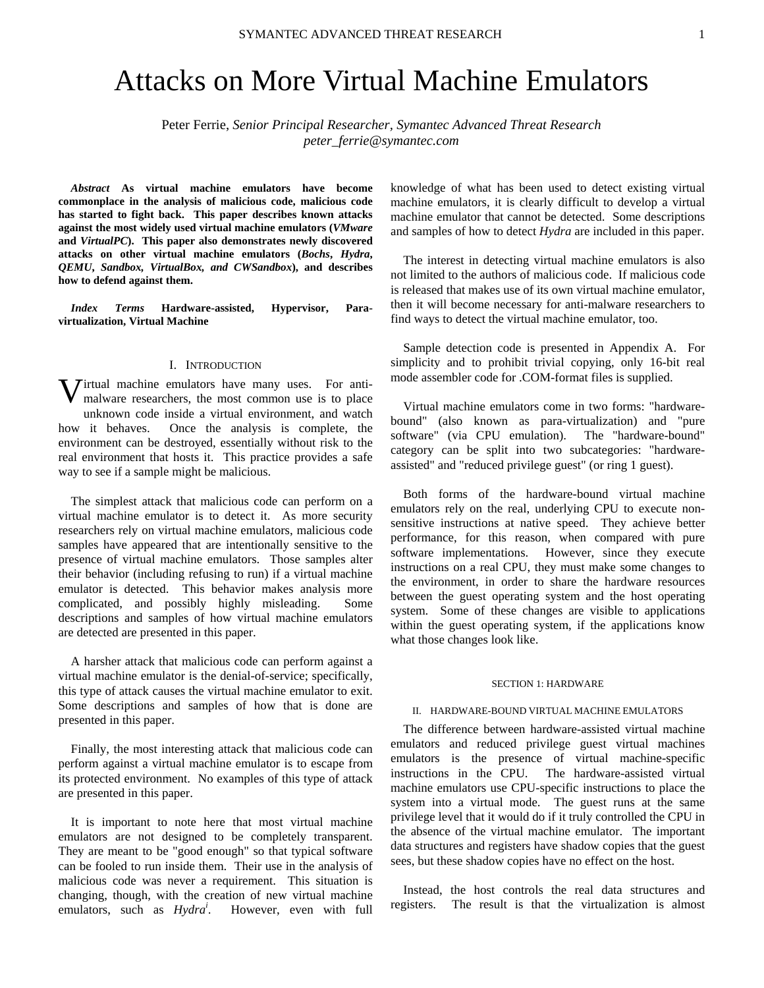# Attacks on More Virtual Machine Emulators

Peter Ferrie, *Senior Principal Researcher, Symantec Advanced Threat Research peter\_ferrie@symantec.com* 

*Abstract* **As virtual machine emulators have become commonplace in the analysis of malicious code, malicious code has started to fight back. This paper describes known attacks against the most widely used virtual machine emulators (***VMware* **and** *VirtualPC***). This paper also demonstrates newly discovered attacks on other virtual machine emulators (***Bochs***,** *Hydra***,**  *QEMU***,** *Sandbox, VirtualBox, and CWSandbox***), and describes how to defend against them.** 

*Index Terms* **Hardware-assisted, Hypervisor, Paravirtualization, Virtual Machine** 

## I. INTRODUCTION

**V** irtual machine emulators have many uses. For anti-<br>malware researchers, the most common use is to place malware researchers, the most common use is to place unknown code inside a virtual environment, and watch how it behaves. Once the analysis is complete, the environment can be destroyed, essentially without risk to the real environment that hosts it. This practice provides a safe way to see if a sample might be malicious.

The simplest attack that malicious code can perform on a virtual machine emulator is to detect it. As more security researchers rely on virtual machine emulators, malicious code samples have appeared that are intentionally sensitive to the presence of virtual machine emulators. Those samples alter their behavior (including refusing to run) if a virtual machine emulator is detected. This behavior makes analysis more complicated, and possibly highly misleading. Some descriptions and samples of how virtual machine emulators are detected are presented in this paper.

A harsher attack that malicious code can perform against a virtual machine emulator is the denial-of-service; specifically, this type of attack causes the virtual machine emulator to exit. Some descriptions and samples of how that is done are presented in this paper.

Finally, the most interesting attack that malicious code can perform against a virtual machine emulator is to escape from its protected environment. No examples of this type of attack are presented in this paper.

It is important to note here that most virtual machine emulators are not designed to be completely transparent. They are meant to be "good enough" so that typical software can be fooled to run inside them. Their use in the analysis of malicious code was never a requirement. This situation is changing, though, with the creation of new virtual machine emulators, such as *Hydra<sup>i</sup>*. However, even with full knowledge of what has been used to detect existing virtual machine emulators, it is clearly difficult to develop a virtual machine emulator that cannot be detected. Some descriptions and samples of how to detect *Hydra* are included in this paper.

The interest in detecting virtual machine emulators is also not limited to the authors of malicious code. If malicious code is released that makes use of its own virtual machine emulator, then it will become necessary for anti-malware researchers to find ways to detect the virtual machine emulator, too.

Sample detection code is presented in Appendix A. For simplicity and to prohibit trivial copying, only 16-bit real mode assembler code for .COM-format files is supplied.

Virtual machine emulators come in two forms: "hardwarebound" (also known as para-virtualization) and "pure software" (via CPU emulation). The "hardware-bound" category can be split into two subcategories: "hardwareassisted" and "reduced privilege guest" (or ring 1 guest).

Both forms of the hardware-bound virtual machine emulators rely on the real, underlying CPU to execute nonsensitive instructions at native speed. They achieve better performance, for this reason, when compared with pure software implementations. However, since they execute instructions on a real CPU, they must make some changes to the environment, in order to share the hardware resources between the guest operating system and the host operating system. Some of these changes are visible to applications within the guest operating system, if the applications know what those changes look like.

#### SECTION 1: HARDWARE

#### II. HARDWARE-BOUND VIRTUAL MACHINE EMULATORS

The difference between hardware-assisted virtual machine emulators and reduced privilege guest virtual machines emulators is the presence of virtual machine-specific instructions in the CPU. The hardware-assisted virtual machine emulators use CPU-specific instructions to place the system into a virtual mode. The guest runs at the same privilege level that it would do if it truly controlled the CPU in the absence of the virtual machine emulator. The important data structures and registers have shadow copies that the guest sees, but these shadow copies have no effect on the host.

Instead, the host controls the real data structures and registers. The result is that the virtualization is almost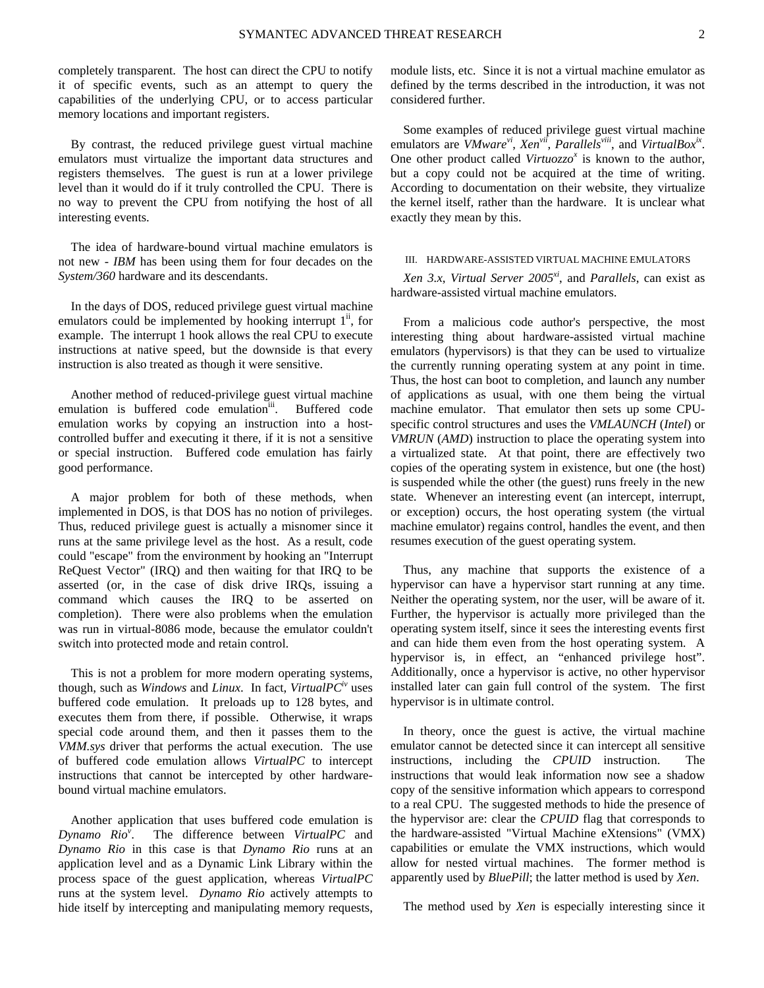completely transparent. The host can direct the CPU to notify it of specific events, such as an attempt to query the capabilities of the underlying CPU, or to access particular memory locations and important registers.

By contrast, the reduced privilege guest virtual machine emulators must virtualize the important data structures and registers themselves. The guest is run at a lower privilege level than it would do if it truly controlled the CPU. There is no way to prevent the CPU from notifying the host of all interesting events.

The idea of hardware-bound virtual machine emulators is not new - *IBM* has been using them for four decades on the *System/360* hardware and its descendants.

In the days of DOS, reduced privilege guest virtual machine emulators could be implemented by hooking interrupt  $1^{\text{ii}}$ , for example. The interrupt 1 hook allows the real CPU to execute instructions at native speed, but the downside is that every instruction is also treated as though it were sensitive.

Another method of reduced-privilege guest virtual machine emulation is buffered code emulation<sup>iii</sup>. Buffered code emulation works by copying an instruction into a hostcontrolled buffer and executing it there, if it is not a sensitive or special instruction. Buffered code emulation has fairly good performance.

A major problem for both of these methods, when implemented in DOS, is that DOS has no notion of privileges. Thus, reduced privilege guest is actually a misnomer since it runs at the same privilege level as the host. As a result, code could "escape" from the environment by hooking an "Interrupt ReQuest Vector" (IRQ) and then waiting for that IRQ to be asserted (or, in the case of disk drive IRQs, issuing a command which causes the IRQ to be asserted on completion). There were also problems when the emulation was run in virtual-8086 mode, because the emulator couldn't switch into protected mode and retain control.

This is not a problem for more modern operating systems, though, such as *Windows* and *Linux*. In fact, *VirtualPCiv* uses buffered code emulation. It preloads up to 128 bytes, and executes them from there, if possible. Otherwise, it wraps special code around them, and then it passes them to the *VMM.sys* driver that performs the actual execution. The use of buffered code emulation allows *VirtualPC* to intercept instructions that cannot be intercepted by other hardwarebound virtual machine emulators.

Another application that uses buffered code emulation is *Dynamo Rio<sup>v</sup>* . The difference between *VirtualPC* and *Dynamo Rio* in this case is that *Dynamo Rio* runs at an application level and as a Dynamic Link Library within the process space of the guest application, whereas *VirtualPC* runs at the system level. *Dynamo Rio* actively attempts to hide itself by intercepting and manipulating memory requests, module lists, etc. Since it is not a virtual machine emulator as defined by the terms described in the introduction, it was not considered further.

Some examples of reduced privilege guest virtual machine emulators are *VMware<sup>vi</sup>*, *Xen<sup>vii</sup>*, *Parallels<sup>viii</sup>*, and *VirtualBox<sup>ix</sup>*. One other product called *Virtuozzo*<sup>*x*</sup> is known to the author, but a copy could not be acquired at the time of writing. According to documentation on their website, they virtualize the kernel itself, rather than the hardware. It is unclear what exactly they mean by this.

## III. HARDWARE-ASSISTED VIRTUAL MACHINE EMULATORS

*Xen 3.x*, *Virtual Server 2005xi*, and *Parallels*, can exist as hardware-assisted virtual machine emulators.

From a malicious code author's perspective, the most interesting thing about hardware-assisted virtual machine emulators (hypervisors) is that they can be used to virtualize the currently running operating system at any point in time. Thus, the host can boot to completion, and launch any number of applications as usual, with one them being the virtual machine emulator. That emulator then sets up some CPUspecific control structures and uses the *VMLAUNCH* (*Intel*) or *VMRUN* (*AMD*) instruction to place the operating system into a virtualized state. At that point, there are effectively two copies of the operating system in existence, but one (the host) is suspended while the other (the guest) runs freely in the new state. Whenever an interesting event (an intercept, interrupt, or exception) occurs, the host operating system (the virtual machine emulator) regains control, handles the event, and then resumes execution of the guest operating system.

Thus, any machine that supports the existence of a hypervisor can have a hypervisor start running at any time. Neither the operating system, nor the user, will be aware of it. Further, the hypervisor is actually more privileged than the operating system itself, since it sees the interesting events first and can hide them even from the host operating system. A hypervisor is, in effect, an "enhanced privilege host". Additionally, once a hypervisor is active, no other hypervisor installed later can gain full control of the system. The first hypervisor is in ultimate control.

In theory, once the guest is active, the virtual machine emulator cannot be detected since it can intercept all sensitive instructions, including the *CPUID* instruction. The instructions that would leak information now see a shadow copy of the sensitive information which appears to correspond to a real CPU. The suggested methods to hide the presence of the hypervisor are: clear the *CPUID* flag that corresponds to the hardware-assisted "Virtual Machine eXtensions" (VMX) capabilities or emulate the VMX instructions, which would allow for nested virtual machines. The former method is apparently used by *BluePill*; the latter method is used by *Xen*.

The method used by *Xen* is especially interesting since it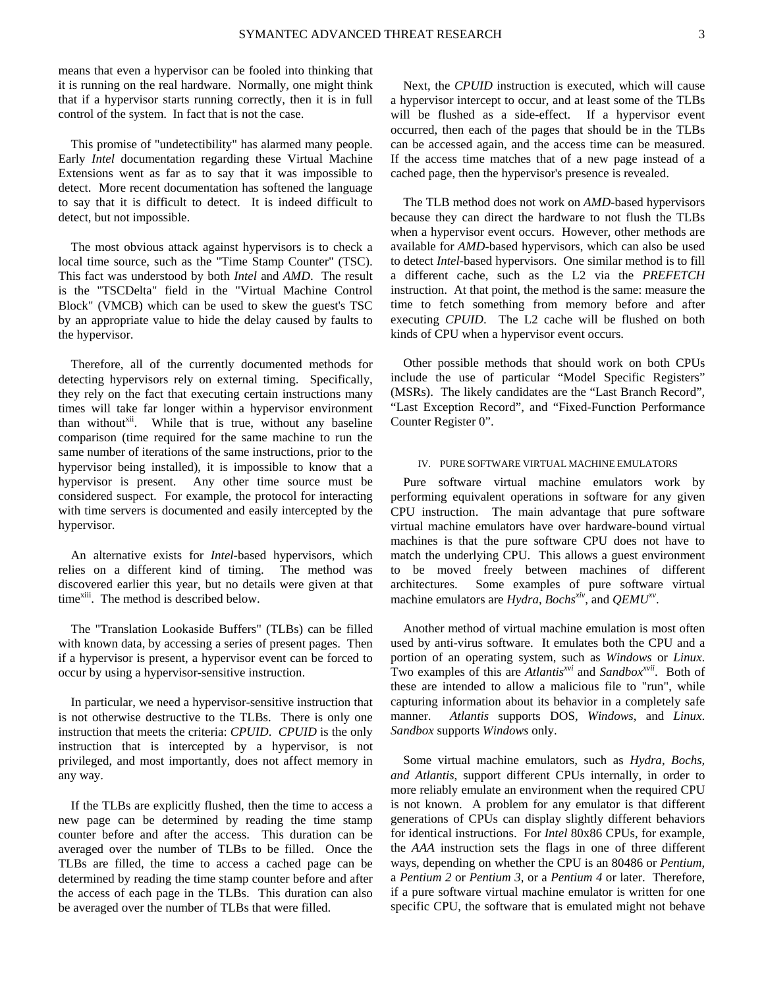means that even a hypervisor can be fooled into thinking that it is running on the real hardware. Normally, one might think that if a hypervisor starts running correctly, then it is in full control of the system. In fact that is not the case.

This promise of "undetectibility" has alarmed many people. Early *Intel* documentation regarding these Virtual Machine Extensions went as far as to say that it was impossible to detect. More recent documentation has softened the language to say that it is difficult to detect. It is indeed difficult to detect, but not impossible.

The most obvious attack against hypervisors is to check a local time source, such as the "Time Stamp Counter" (TSC). This fact was understood by both *Intel* and *AMD*. The result is the "TSCDelta" field in the "Virtual Machine Control Block" (VMCB) which can be used to skew the guest's TSC by an appropriate value to hide the delay caused by faults to the hypervisor.

Therefore, all of the currently documented methods for detecting hypervisors rely on external timing. Specifically, they rely on the fact that executing certain instructions many times will take far longer within a hypervisor environment than without $x^{iii}$ . While that is true, without any baseline comparison (time required for the same machine to run the same number of iterations of the same instructions, prior to the hypervisor being installed), it is impossible to know that a hypervisor is present. Any other time source must be considered suspect. For example, the protocol for interacting with time servers is documented and easily intercepted by the hypervisor.

An alternative exists for *Intel*-based hypervisors, which relies on a different kind of timing. The method was discovered earlier this year, but no details were given at that time<sup>xiii</sup>. The method is described below.

The "Translation Lookaside Buffers" (TLBs) can be filled with known data, by accessing a series of present pages. Then if a hypervisor is present, a hypervisor event can be forced to occur by using a hypervisor-sensitive instruction.

In particular, we need a hypervisor-sensitive instruction that is not otherwise destructive to the TLBs. There is only one instruction that meets the criteria: *CPUID*. *CPUID* is the only instruction that is intercepted by a hypervisor, is not privileged, and most importantly, does not affect memory in any way.

If the TLBs are explicitly flushed, then the time to access a new page can be determined by reading the time stamp counter before and after the access. This duration can be averaged over the number of TLBs to be filled. Once the TLBs are filled, the time to access a cached page can be determined by reading the time stamp counter before and after the access of each page in the TLBs. This duration can also be averaged over the number of TLBs that were filled.

Next, the *CPUID* instruction is executed, which will cause a hypervisor intercept to occur, and at least some of the TLBs will be flushed as a side-effect. If a hypervisor event occurred, then each of the pages that should be in the TLBs can be accessed again, and the access time can be measured. If the access time matches that of a new page instead of a cached page, then the hypervisor's presence is revealed.

The TLB method does not work on *AMD*-based hypervisors because they can direct the hardware to not flush the TLBs when a hypervisor event occurs. However, other methods are available for *AMD*-based hypervisors, which can also be used to detect *Intel*-based hypervisors. One similar method is to fill a different cache, such as the L2 via the *PREFETCH* instruction. At that point, the method is the same: measure the time to fetch something from memory before and after executing *CPUID*. The L2 cache will be flushed on both kinds of CPU when a hypervisor event occurs.

Other possible methods that should work on both CPUs include the use of particular "Model Specific Registers" (MSRs). The likely candidates are the "Last Branch Record", "Last Exception Record", and "Fixed-Function Performance Counter Register 0".

#### IV. PURE SOFTWARE VIRTUAL MACHINE EMULATORS

Pure software virtual machine emulators work by performing equivalent operations in software for any given CPU instruction. The main advantage that pure software virtual machine emulators have over hardware-bound virtual machines is that the pure software CPU does not have to match the underlying CPU. This allows a guest environment to be moved freely between machines of different architectures. Some examples of pure software virtual machine emulators are *Hydra*, *Bochs<sup>xiv</sup>*, and *QEMU*<sup>*xv*</sup>.

Another method of virtual machine emulation is most often used by anti-virus software. It emulates both the CPU and a portion of an operating system, such as *Windows* or *Linux*. Two examples of this are *Atlantis<sup>xvi</sup>* and *Sandbox<sup>xvii</sup>*. Both of these are intended to allow a malicious file to "run", while capturing information about its behavior in a completely safe manner. *Atlantis* supports DOS, *Windows*, and *Linux*. *Sandbox* supports *Windows* only.

Some virtual machine emulators, such as *Hydra*, *Bochs, and Atlantis*, support different CPUs internally, in order to more reliably emulate an environment when the required CPU is not known. A problem for any emulator is that different generations of CPUs can display slightly different behaviors for identical instructions. For *Intel* 80x86 CPUs, for example, the *AAA* instruction sets the flags in one of three different ways, depending on whether the CPU is an 80486 or *Pentium*, a *Pentium 2* or *Pentium 3*, or a *Pentium 4* or later. Therefore, if a pure software virtual machine emulator is written for one specific CPU, the software that is emulated might not behave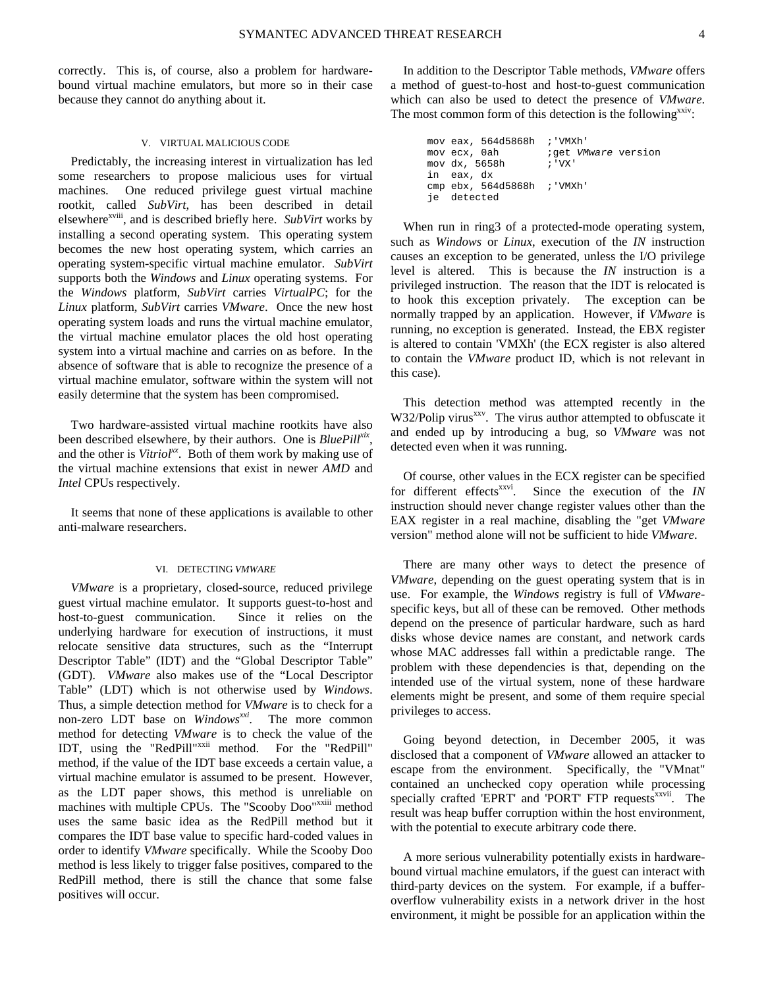correctly. This is, of course, also a problem for hardwarebound virtual machine emulators, but more so in their case because they cannot do anything about it.

## V. VIRTUAL MALICIOUS CODE

Predictably, the increasing interest in virtualization has led some researchers to propose malicious uses for virtual machines. One reduced privilege guest virtual machine rootkit, called *SubVirt*, has been described in detail elsewhere<sup>xviii</sup>, and is described briefly here. *SubVirt* works by installing a second operating system. This operating system becomes the new host operating system, which carries an operating system-specific virtual machine emulator. *SubVirt* supports both the *Windows* and *Linux* operating systems. For the *Windows* platform, *SubVirt* carries *VirtualPC*; for the *Linux* platform, *SubVirt* carries *VMware*. Once the new host operating system loads and runs the virtual machine emulator, the virtual machine emulator places the old host operating system into a virtual machine and carries on as before. In the absence of software that is able to recognize the presence of a virtual machine emulator, software within the system will not easily determine that the system has been compromised.

Two hardware-assisted virtual machine rootkits have also been described elsewhere, by their authors. One is *BluePill<sup>xix</sup>*, and the other is *Vitriol*<sup>xx</sup>. Both of them work by making use of the virtual machine extensions that exist in newer *AMD* and *Intel* CPUs respectively.

It seems that none of these applications is available to other anti-malware researchers.

#### VI. DETECTING *VMWARE*

*VMware* is a proprietary, closed-source, reduced privilege guest virtual machine emulator. It supports guest-to-host and host-to-guest communication. Since it relies on the underlying hardware for execution of instructions, it must relocate sensitive data structures, such as the "Interrupt Descriptor Table" (IDT) and the "Global Descriptor Table" (GDT). *VMware* also makes use of the "Local Descriptor Table" (LDT) which is not otherwise used by *Windows*. Thus, a simple detection method for *VMware* is to check for a non-zero LDT base on *Windowsxxi*. The more common method for detecting *VMware* is to check the value of the IDT, using the "RedPill"<sup>xxii</sup> method. For the "RedPill" method, if the value of the IDT base exceeds a certain value, a virtual machine emulator is assumed to be present. However, as the LDT paper shows, this method is unreliable on machines with multiple CPUs. The "Scooby Doo"<sup>xxiii</sup> method uses the same basic idea as the RedPill method but it compares the IDT base value to specific hard-coded values in order to identify *VMware* specifically. While the Scooby Doo method is less likely to trigger false positives, compared to the RedPill method, there is still the chance that some false positives will occur.

In addition to the Descriptor Table methods, *VMware* offers a method of guest-to-host and host-to-guest communication which can also be used to detect the presence of *VMware*. The most common form of this detection is the following  $X^{XIV}$ .

| mov eax, 564d5868h ; 'VMXh' |                     |
|-----------------------------|---------------------|
| mov ecx, 0ah                | iget VMware version |
| mov dx, 5658h               | : 'VX'              |
| in eax, dx                  |                     |
| cmp ebx, 564d5868h ; 'VMXh' |                     |
| je detected                 |                     |

When run in ring3 of a protected-mode operating system, such as *Windows* or *Linux*, execution of the *IN* instruction causes an exception to be generated, unless the I/O privilege level is altered. This is because the *IN* instruction is a privileged instruction. The reason that the IDT is relocated is to hook this exception privately. The exception can be normally trapped by an application. However, if *VMware* is running, no exception is generated. Instead, the EBX register is altered to contain 'VMXh' (the ECX register is also altered to contain the *VMware* product ID, which is not relevant in this case).

This detection method was attempted recently in the W32/Polip virus<sup>xxv</sup>. The virus author attempted to obfuscate it and ended up by introducing a bug, so *VMware* was not detected even when it was running.

Of course, other values in the ECX register can be specified for different effects<sup>xxvi</sup>. Since the execution of the *IN* instruction should never change register values other than the EAX register in a real machine, disabling the "get *VMware* version" method alone will not be sufficient to hide *VMware*.

There are many other ways to detect the presence of *VMware*, depending on the guest operating system that is in use. For example, the *Windows* registry is full of *VMware*specific keys, but all of these can be removed. Other methods depend on the presence of particular hardware, such as hard disks whose device names are constant, and network cards whose MAC addresses fall within a predictable range. The problem with these dependencies is that, depending on the intended use of the virtual system, none of these hardware elements might be present, and some of them require special privileges to access.

Going beyond detection, in December 2005, it was disclosed that a component of *VMware* allowed an attacker to escape from the environment. Specifically, the "VMnat" contained an unchecked copy operation while processing specially crafted 'EPRT' and 'PORT' FTP requests<sup>xxvii</sup>. The result was heap buffer corruption within the host environment, with the potential to execute arbitrary code there.

A more serious vulnerability potentially exists in hardwarebound virtual machine emulators, if the guest can interact with third-party devices on the system. For example, if a bufferoverflow vulnerability exists in a network driver in the host environment, it might be possible for an application within the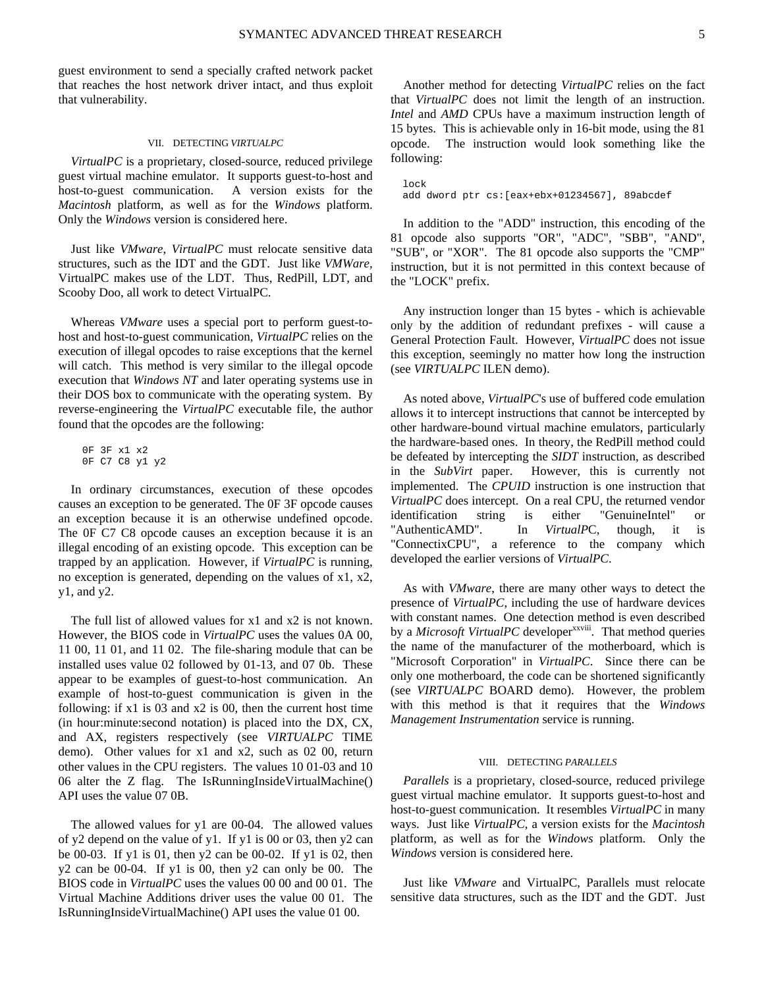guest environment to send a specially crafted network packet that reaches the host network driver intact, and thus exploit that vulnerability.

## VII. DETECTING *VIRTUALPC*

*VirtualPC* is a proprietary, closed-source, reduced privilege guest virtual machine emulator. It supports guest-to-host and host-to-guest communication. A version exists for the *Macintosh* platform, as well as for the *Windows* platform. Only the *Windows* version is considered here.

Just like *VMware*, *VirtualPC* must relocate sensitive data structures, such as the IDT and the GDT. Just like *VMWare*, VirtualPC makes use of the LDT. Thus, RedPill, LDT, and Scooby Doo, all work to detect VirtualPC.

Whereas *VMware* uses a special port to perform guest-tohost and host-to-guest communication, *VirtualPC* relies on the execution of illegal opcodes to raise exceptions that the kernel will catch. This method is very similar to the illegal opcode execution that *Windows NT* and later operating systems use in their DOS box to communicate with the operating system. By reverse-engineering the *VirtualPC* executable file, the author found that the opcodes are the following:

 0F 3F x1 x2 0F C7 C8 y1 y2

In ordinary circumstances, execution of these opcodes causes an exception to be generated. The 0F 3F opcode causes an exception because it is an otherwise undefined opcode. The 0F C7 C8 opcode causes an exception because it is an illegal encoding of an existing opcode. This exception can be trapped by an application. However, if *VirtualPC* is running, no exception is generated, depending on the values of x1, x2, y1, and y2.

The full list of allowed values for x1 and x2 is not known. However, the BIOS code in *VirtualPC* uses the values 0A 00, 11 00, 11 01, and 11 02. The file-sharing module that can be installed uses value 02 followed by 01-13, and 07 0b. These appear to be examples of guest-to-host communication. An example of host-to-guest communication is given in the following: if x1 is 03 and x2 is 00, then the current host time (in hour:minute:second notation) is placed into the DX, CX, and AX, registers respectively (see *VIRTUALPC* TIME demo). Other values for x1 and x2, such as 02 00, return other values in the CPU registers. The values 10 01-03 and 10 06 alter the Z flag. The IsRunningInsideVirtualMachine() API uses the value 07 0B.

The allowed values for y1 are 00-04. The allowed values of y2 depend on the value of y1. If y1 is 00 or 03, then y2 can be 00-03. If y1 is 01, then y2 can be 00-02. If y1 is 02, then y2 can be 00-04. If y1 is 00, then y2 can only be 00. The BIOS code in *VirtualPC* uses the values 00 00 and 00 01. The Virtual Machine Additions driver uses the value 00 01. The IsRunningInsideVirtualMachine() API uses the value 01 00.

Another method for detecting *VirtualPC* relies on the fact that *VirtualPC* does not limit the length of an instruction. *Intel* and *AMD* CPUs have a maximum instruction length of 15 bytes. This is achievable only in 16-bit mode, using the 81 opcode. The instruction would look something like the following:

 lock add dword ptr cs:[eax+ebx+01234567], 89abcdef

In addition to the "ADD" instruction, this encoding of the 81 opcode also supports "OR", "ADC", "SBB", "AND", "SUB", or "XOR". The 81 opcode also supports the "CMP" instruction, but it is not permitted in this context because of the "LOCK" prefix.

Any instruction longer than 15 bytes - which is achievable only by the addition of redundant prefixes - will cause a General Protection Fault. However, *VirtualPC* does not issue this exception, seemingly no matter how long the instruction (see *VIRTUALPC* ILEN demo).

As noted above, *VirtualPC*'s use of buffered code emulation allows it to intercept instructions that cannot be intercepted by other hardware-bound virtual machine emulators, particularly the hardware-based ones. In theory, the RedPill method could be defeated by intercepting the *SIDT* instruction, as described in the *SubVirt* paper. However, this is currently not implemented. The *CPUID* instruction is one instruction that *VirtualPC* does intercept. On a real CPU, the returned vendor identification string is either "GenuineIntel" or "AuthenticAMD". In *VirtualP*C, though, it is "ConnectixCPU", a reference to the company which developed the earlier versions of *VirtualPC*.

As with *VMware*, there are many other ways to detect the presence of *VirtualPC*, including the use of hardware devices with constant names. One detection method is even described by a *Microsoft VirtualPC* developer<sup>xxviii</sup>. That method queries the name of the manufacturer of the motherboard, which is "Microsoft Corporation" in *VirtualPC*. Since there can be only one motherboard, the code can be shortened significantly (see *VIRTUALPC* BOARD demo). However, the problem with this method is that it requires that the *Windows Management Instrumentation* service is running.

## VIII. DETECTING *PARALLELS*

*Parallels* is a proprietary, closed-source, reduced privilege guest virtual machine emulator. It supports guest-to-host and host-to-guest communication. It resembles *VirtualPC* in many ways. Just like *VirtualPC*, a version exists for the *Macintosh* platform, as well as for the *Windows* platform. Only the *Windows* version is considered here.

Just like *VMware* and VirtualPC, Parallels must relocate sensitive data structures, such as the IDT and the GDT. Just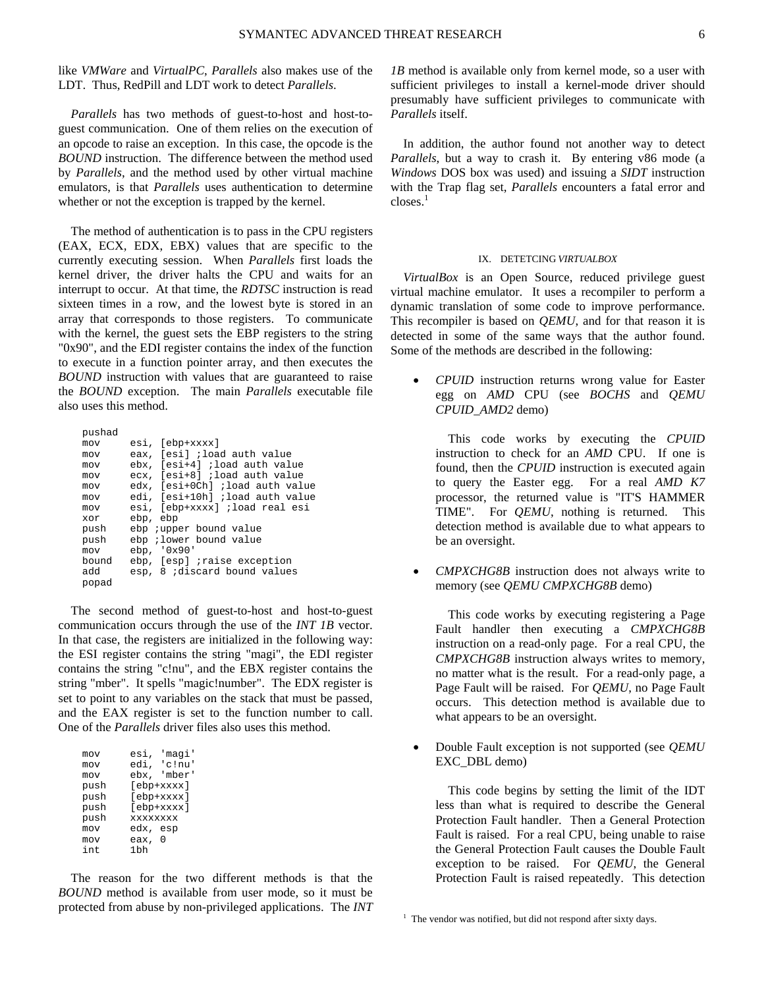like *VMWare* and *VirtualPC*, *Parallels* also makes use of the LDT. Thus, RedPill and LDT work to detect *Parallels*.

*Parallels* has two methods of guest-to-host and host-toguest communication. One of them relies on the execution of an opcode to raise an exception. In this case, the opcode is the *BOUND* instruction. The difference between the method used by *Parallels*, and the method used by other virtual machine emulators, is that *Parallels* uses authentication to determine whether or not the exception is trapped by the kernel.

The method of authentication is to pass in the CPU registers (EAX, ECX, EDX, EBX) values that are specific to the currently executing session. When *Parallels* first loads the kernel driver, the driver halts the CPU and waits for an interrupt to occur. At that time, the *RDTSC* instruction is read sixteen times in a row, and the lowest byte is stored in an array that corresponds to those registers. To communicate with the kernel, the guest sets the EBP registers to the string "0x90", and the EDI register contains the index of the function to execute in a function pointer array, and then executes the *BOUND* instruction with values that are guaranteed to raise the *BOUND* exception. The main *Parallels* executable file also uses this method.

| pushad |                                 |
|--------|---------------------------------|
| mov    | esi, [ebp+xxxx]                 |
| mov    | eax, [esi] ;load auth value     |
| mov    | ebx, [esi+4] ;load auth value   |
| mov    | ecx, [esi+8] ;load auth value   |
| mov    | edx, [esi+0Ch] ;load auth value |
| mov    | edi, [esi+10h] ;load auth value |
| mov    | esi, [ebp+xxxx] ;load real esi  |
| xor    | ebp, ebp                        |
| push   | ebp <i>j</i> upper bound value  |
| push   | ebp ;lower bound value          |
| mov    | ebp, '0x90'                     |
| bound  | ebp, [esp] ;raise exception     |
| hba    | esp, 8 idiscard bound values    |
| popad  |                                 |

The second method of guest-to-host and host-to-guest communication occurs through the use of the *INT 1B* vector. In that case, the registers are initialized in the following way: the ESI register contains the string "magi", the EDI register contains the string "c!nu", and the EBX register contains the string "mber". It spells "magic!number". The EDX register is set to point to any variables on the stack that must be passed, and the EAX register is set to the function number to call. One of the *Parallels* driver files also uses this method.

| mov  | 'maqi'<br>esi,  |
|------|-----------------|
| mov  | edi, 'c!nu'     |
| mov  | ebx, 'mber'     |
| push | [ebp+xxxx]      |
| push | $[ebp+xxxx]$    |
| push | [ebp+xxxx]      |
| push | <b>XXXXXXXX</b> |
| mov  | edx, esp        |
| mov  | eax, O          |
| int. | 1 <sub>bh</sub> |
|      |                 |

The reason for the two different methods is that the *BOUND* method is available from user mode, so it must be protected from abuse by non-privileged applications. The *INT* 

*1B* method is available only from kernel mode, so a user with sufficient privileges to install a kernel-mode driver should presumably have sufficient privileges to communicate with *Parallels* itself.

In addition, the author found not another way to detect *Parallels*, but a way to crash it. By entering v86 mode (a *Windows* DOS box was used) and issuing a *SIDT* instruction with the Trap flag set, *Parallels* encounters a fatal error and  $closes.<sup>1</sup>$ 

#### IX. DETETCING *VIRTUALBOX*

*VirtualBox* is an Open Source, reduced privilege guest virtual machine emulator. It uses a recompiler to perform a dynamic translation of some code to improve performance. This recompiler is based on *QEMU*, and for that reason it is detected in some of the same ways that the author found. Some of the methods are described in the following:

• *CPUID* instruction returns wrong value for Easter egg on *AMD* CPU (see *BOCHS* and *QEMU CPUID\_AMD2* demo)

This code works by executing the *CPUID* instruction to check for an *AMD* CPU. If one is found, then the *CPUID* instruction is executed again to query the Easter egg. For a real *AMD K7* processor, the returned value is "IT'S HAMMER TIME". For *QEMU*, nothing is returned. This detection method is available due to what appears to be an oversight.

• *CMPXCHG8B* instruction does not always write to memory (see *QEMU CMPXCHG8B* demo)

This code works by executing registering a Page Fault handler then executing a *CMPXCHG8B* instruction on a read-only page. For a real CPU, the *CMPXCHG8B* instruction always writes to memory, no matter what is the result. For a read-only page, a Page Fault will be raised. For *QEMU*, no Page Fault occurs. This detection method is available due to what appears to be an oversight.

• Double Fault exception is not supported (see *QEMU* EXC\_DBL demo)

This code begins by setting the limit of the IDT less than what is required to describe the General Protection Fault handler. Then a General Protection Fault is raised. For a real CPU, being unable to raise the General Protection Fault causes the Double Fault exception to be raised. For *QEMU*, the General Protection Fault is raised repeatedly. This detection

<sup>&</sup>lt;sup>1</sup> The vendor was notified, but did not respond after sixty days.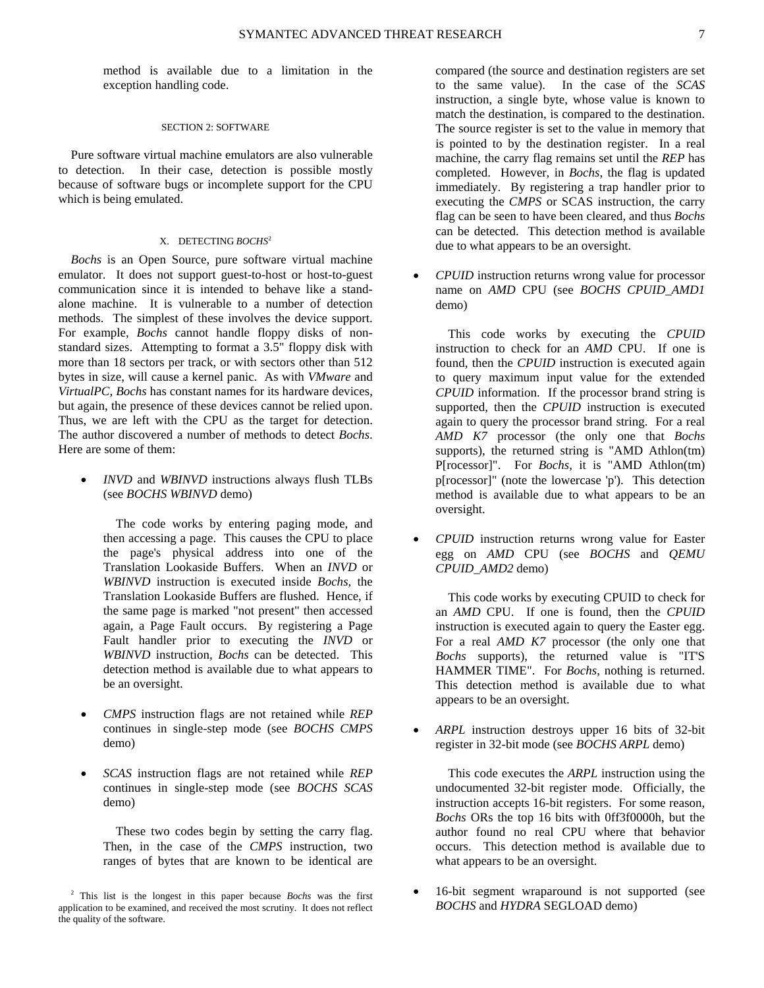method is available due to a limitation in the exception handling code.

#### SECTION 2: SOFTWARE

Pure software virtual machine emulators are also vulnerable to detection. In their case, detection is possible mostly because of software bugs or incomplete support for the CPU which is being emulated.

## X. DETECTING *BOCHS*<sup>2</sup>

*Bochs* is an Open Source, pure software virtual machine emulator. It does not support guest-to-host or host-to-guest communication since it is intended to behave like a standalone machine. It is vulnerable to a number of detection methods. The simplest of these involves the device support. For example, *Bochs* cannot handle floppy disks of nonstandard sizes. Attempting to format a 3.5" floppy disk with more than 18 sectors per track, or with sectors other than 512 bytes in size, will cause a kernel panic. As with *VMware* and *VirtualPC*, *Bochs* has constant names for its hardware devices, but again, the presence of these devices cannot be relied upon. Thus, we are left with the CPU as the target for detection. The author discovered a number of methods to detect *Bochs*. Here are some of them:

• *INVD* and *WBINVD* instructions always flush TLBs (see *BOCHS WBINVD* demo)

The code works by entering paging mode, and then accessing a page. This causes the CPU to place the page's physical address into one of the Translation Lookaside Buffers. When an *INVD* or *WBINVD* instruction is executed inside *Bochs*, the Translation Lookaside Buffers are flushed. Hence, if the same page is marked "not present" then accessed again, a Page Fault occurs. By registering a Page Fault handler prior to executing the *INVD* or *WBINVD* instruction, *Bochs* can be detected. This detection method is available due to what appears to be an oversight.

- *CMPS* instruction flags are not retained while *REP* continues in single-step mode (see *BOCHS CMPS* demo)
- *SCAS* instruction flags are not retained while *REP* continues in single-step mode (see *BOCHS SCAS* demo)

These two codes begin by setting the carry flag. Then, in the case of the *CMPS* instruction, two ranges of bytes that are known to be identical are compared (the source and destination registers are set to the same value). In the case of the *SCAS* instruction, a single byte, whose value is known to match the destination, is compared to the destination. The source register is set to the value in memory that is pointed to by the destination register. In a real machine, the carry flag remains set until the *REP* has completed. However, in *Bochs*, the flag is updated immediately. By registering a trap handler prior to executing the *CMPS* or SCAS instruction, the carry flag can be seen to have been cleared, and thus *Bochs* can be detected. This detection method is available due to what appears to be an oversight.

• *CPUID* instruction returns wrong value for processor name on *AMD* CPU (see *BOCHS CPUID\_AMD1* demo)

This code works by executing the *CPUID* instruction to check for an *AMD* CPU. If one is found, then the *CPUID* instruction is executed again to query maximum input value for the extended *CPUID* information. If the processor brand string is supported, then the *CPUID* instruction is executed again to query the processor brand string. For a real *AMD K7* processor (the only one that *Bochs* supports), the returned string is "AMD Athlon(tm) P[rocessor]". For *Bochs*, it is "AMD Athlon(tm) p[rocessor]" (note the lowercase 'p'). This detection method is available due to what appears to be an oversight.

• *CPUID* instruction returns wrong value for Easter egg on *AMD* CPU (see *BOCHS* and *QEMU CPUID\_AMD2* demo)

This code works by executing CPUID to check for an *AMD* CPU. If one is found, then the *CPUID* instruction is executed again to query the Easter egg. For a real *AMD K7* processor (the only one that *Bochs* supports), the returned value is "IT'S HAMMER TIME". For *Bochs*, nothing is returned. This detection method is available due to what appears to be an oversight.

• *ARPL* instruction destroys upper 16 bits of 32-bit register in 32-bit mode (see *BOCHS ARPL* demo)

This code executes the *ARPL* instruction using the undocumented 32-bit register mode. Officially, the instruction accepts 16-bit registers. For some reason, *Bochs* ORs the top 16 bits with 0ff3f0000h, but the author found no real CPU where that behavior occurs. This detection method is available due to what appears to be an oversight.

• 16-bit segment wraparound is not supported (see *BOCHS* and *HYDRA* SEGLOAD demo)

<sup>2</sup> This list is the longest in this paper because *Bochs* was the first application to be examined, and received the most scrutiny. It does not reflect the quality of the software.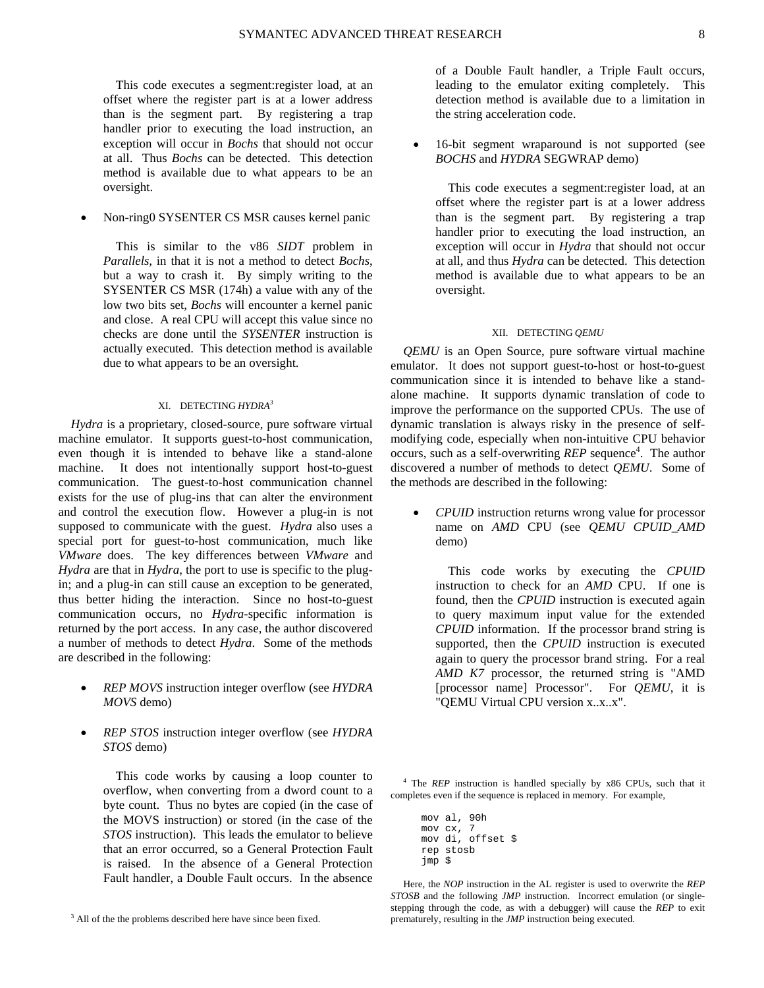This code executes a segment:register load, at an offset where the register part is at a lower address than is the segment part. By registering a trap handler prior to executing the load instruction, an exception will occur in *Bochs* that should not occur at all. Thus *Bochs* can be detected. This detection method is available due to what appears to be an oversight.

## • Non-ring0 SYSENTER CS MSR causes kernel panic

This is similar to the v86 *SIDT* problem in *Parallels*, in that it is not a method to detect *Bochs*, but a way to crash it. By simply writing to the SYSENTER CS MSR (174h) a value with any of the low two bits set, *Bochs* will encounter a kernel panic and close. A real CPU will accept this value since no checks are done until the *SYSENTER* instruction is actually executed. This detection method is available due to what appears to be an oversight.

## XI. DETECTING *HYDRA3*

*Hydra* is a proprietary, closed-source, pure software virtual machine emulator. It supports guest-to-host communication, even though it is intended to behave like a stand-alone machine. It does not intentionally support host-to-guest communication. The guest-to-host communication channel exists for the use of plug-ins that can alter the environment and control the execution flow. However a plug-in is not supposed to communicate with the guest. *Hydra* also uses a special port for guest-to-host communication, much like *VMware* does. The key differences between *VMware* and *Hydra* are that in *Hydra*, the port to use is specific to the plugin; and a plug-in can still cause an exception to be generated, thus better hiding the interaction. Since no host-to-guest communication occurs, no *Hydra*-specific information is returned by the port access. In any case, the author discovered a number of methods to detect *Hydra*. Some of the methods are described in the following:

- *REP MOVS* instruction integer overflow (see *HYDRA MOVS* demo)
- *REP STOS* instruction integer overflow (see *HYDRA STOS* demo)

This code works by causing a loop counter to overflow, when converting from a dword count to a byte count. Thus no bytes are copied (in the case of the MOVS instruction) or stored (in the case of the *STOS* instruction). This leads the emulator to believe that an error occurred, so a General Protection Fault is raised. In the absence of a General Protection Fault handler, a Double Fault occurs. In the absence of a Double Fault handler, a Triple Fault occurs, leading to the emulator exiting completely. This detection method is available due to a limitation in the string acceleration code.

16-bit segment wraparound is not supported (see *BOCHS* and *HYDRA* SEGWRAP demo)

This code executes a segment:register load, at an offset where the register part is at a lower address than is the segment part. By registering a trap handler prior to executing the load instruction, an exception will occur in *Hydra* that should not occur at all, and thus *Hydra* can be detected. This detection method is available due to what appears to be an oversight.

#### XII. DETECTING *QEMU*

*QEMU* is an Open Source, pure software virtual machine emulator. It does not support guest-to-host or host-to-guest communication since it is intended to behave like a standalone machine. It supports dynamic translation of code to improve the performance on the supported CPUs. The use of dynamic translation is always risky in the presence of selfmodifying code, especially when non-intuitive CPU behavior occurs, such as a self-overwriting *REP* sequence<sup>4</sup>. The author discovered a number of methods to detect *QEMU*. Some of the methods are described in the following:

• *CPUID* instruction returns wrong value for processor name on *AMD* CPU (see *QEMU CPUID\_AMD* demo)

This code works by executing the *CPUID* instruction to check for an *AMD* CPU. If one is found, then the *CPUID* instruction is executed again to query maximum input value for the extended *CPUID* information. If the processor brand string is supported, then the *CPUID* instruction is executed again to query the processor brand string. For a real *AMD K7* processor, the returned string is "AMD [processor name] Processor". For *QEMU*, it is "QEMU Virtual CPU version x..x..x".

<sup>4</sup> The *REP* instruction is handled specially by x86 CPUs, such that it completes even if the sequence is replaced in memory. For example,

 mov al, 90h mov cx, 7 mov di, offset \$ rep stosb jmp \$

Here, the *NOP* instruction in the AL register is used to overwrite the *REP STOSB* and the following *JMP* instruction. Incorrect emulation (or singlestepping through the code, as with a debugger) will cause the *REP* to exit prematurely, resulting in the *JMP* instruction being executed.

<sup>&</sup>lt;sup>3</sup> All of the the problems described here have since been fixed.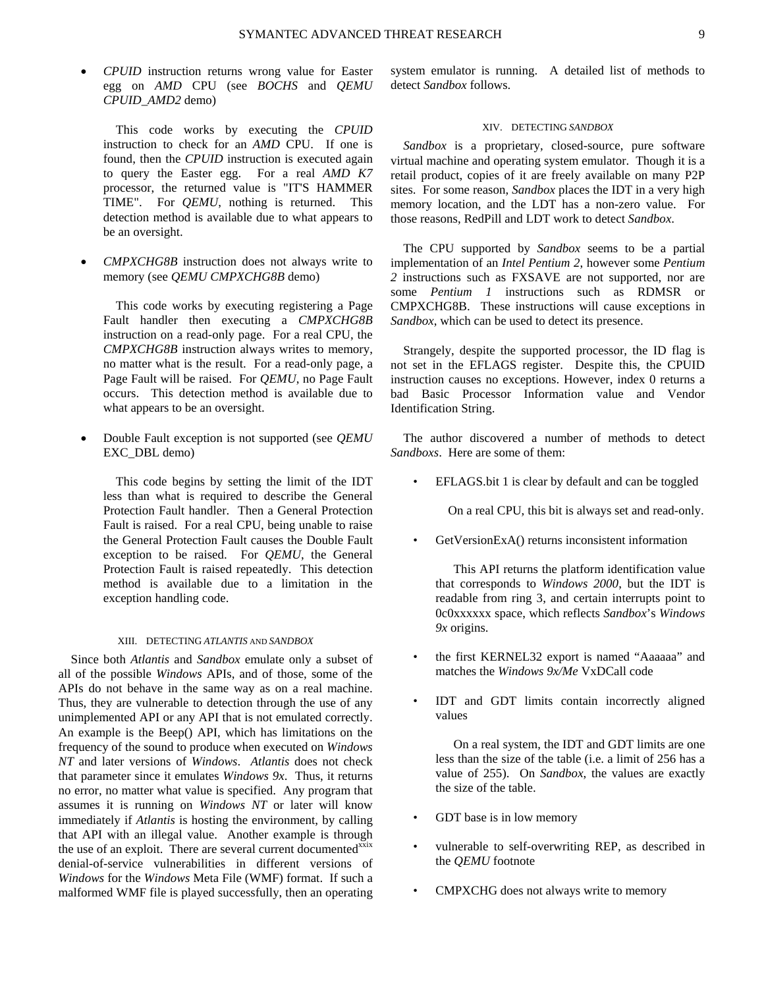• *CPUID* instruction returns wrong value for Easter egg on *AMD* CPU (see *BOCHS* and *QEMU CPUID\_AMD2* demo)

This code works by executing the *CPUID* instruction to check for an *AMD* CPU. If one is found, then the *CPUID* instruction is executed again to query the Easter egg. For a real *AMD K7* processor, the returned value is "IT'S HAMMER TIME". For *QEMU*, nothing is returned. This detection method is available due to what appears to be an oversight.

• *CMPXCHG8B* instruction does not always write to memory (see *QEMU CMPXCHG8B* demo)

This code works by executing registering a Page Fault handler then executing a *CMPXCHG8B* instruction on a read-only page. For a real CPU, the *CMPXCHG8B* instruction always writes to memory, no matter what is the result. For a read-only page, a Page Fault will be raised. For *QEMU*, no Page Fault occurs. This detection method is available due to what appears to be an oversight.

• Double Fault exception is not supported (see *QEMU* EXC\_DBL demo)

This code begins by setting the limit of the IDT less than what is required to describe the General Protection Fault handler. Then a General Protection Fault is raised. For a real CPU, being unable to raise the General Protection Fault causes the Double Fault exception to be raised. For *QEMU*, the General Protection Fault is raised repeatedly. This detection method is available due to a limitation in the exception handling code.

#### XIII. DETECTING *ATLANTIS* AND *SANDBOX*

Since both *Atlantis* and *Sandbox* emulate only a subset of all of the possible *Windows* APIs, and of those, some of the APIs do not behave in the same way as on a real machine. Thus, they are vulnerable to detection through the use of any unimplemented API or any API that is not emulated correctly. An example is the Beep() API, which has limitations on the frequency of the sound to produce when executed on *Windows NT* and later versions of *Windows*. *Atlantis* does not check that parameter since it emulates *Windows 9x*. Thus, it returns no error, no matter what value is specified. Any program that assumes it is running on *Windows NT* or later will know immediately if *Atlantis* is hosting the environment, by calling that API with an illegal value. Another example is through the use of an exploit. There are several current documented<sup>xxix</sup> denial-of-service vulnerabilities in different versions of *Windows* for the *Windows* Meta File (WMF) format. If such a malformed WMF file is played successfully, then an operating system emulator is running. A detailed list of methods to detect *Sandbox* follows.

#### XIV. DETECTING *SANDBOX*

*Sandbox* is a proprietary, closed-source, pure software virtual machine and operating system emulator. Though it is a retail product, copies of it are freely available on many P2P sites. For some reason, *Sandbox* places the IDT in a very high memory location, and the LDT has a non-zero value. For those reasons, RedPill and LDT work to detect *Sandbox*.

The CPU supported by *Sandbox* seems to be a partial implementation of an *Intel Pentium 2*, however some *Pentium 2* instructions such as FXSAVE are not supported, nor are some *Pentium 1* instructions such as RDMSR or CMPXCHG8B. These instructions will cause exceptions in *Sandbox*, which can be used to detect its presence.

Strangely, despite the supported processor, the ID flag is not set in the EFLAGS register. Despite this, the CPUID instruction causes no exceptions. However, index 0 returns a bad Basic Processor Information value and Vendor Identification String.

The author discovered a number of methods to detect *Sandboxs*. Here are some of them:

EFLAGS.bit 1 is clear by default and can be toggled

On a real CPU, this bit is always set and read-only.

GetVersionExA() returns inconsistent information

 This API returns the platform identification value that corresponds to *Windows 2000*, but the IDT is readable from ring 3, and certain interrupts point to 0c0xxxxxx space, which reflects *Sandbox*'s *Windows 9x* origins.

- the first KERNEL32 export is named "Aaaaaa" and matches the *Windows 9x/Me* VxDCall code
- IDT and GDT limits contain incorrectly aligned values

 On a real system, the IDT and GDT limits are one less than the size of the table (i.e. a limit of 256 has a value of 255). On *Sandbox*, the values are exactly the size of the table.

- GDT base is in low memory
- vulnerable to self-overwriting REP, as described in the *QEMU* footnote
- CMPXCHG does not always write to memory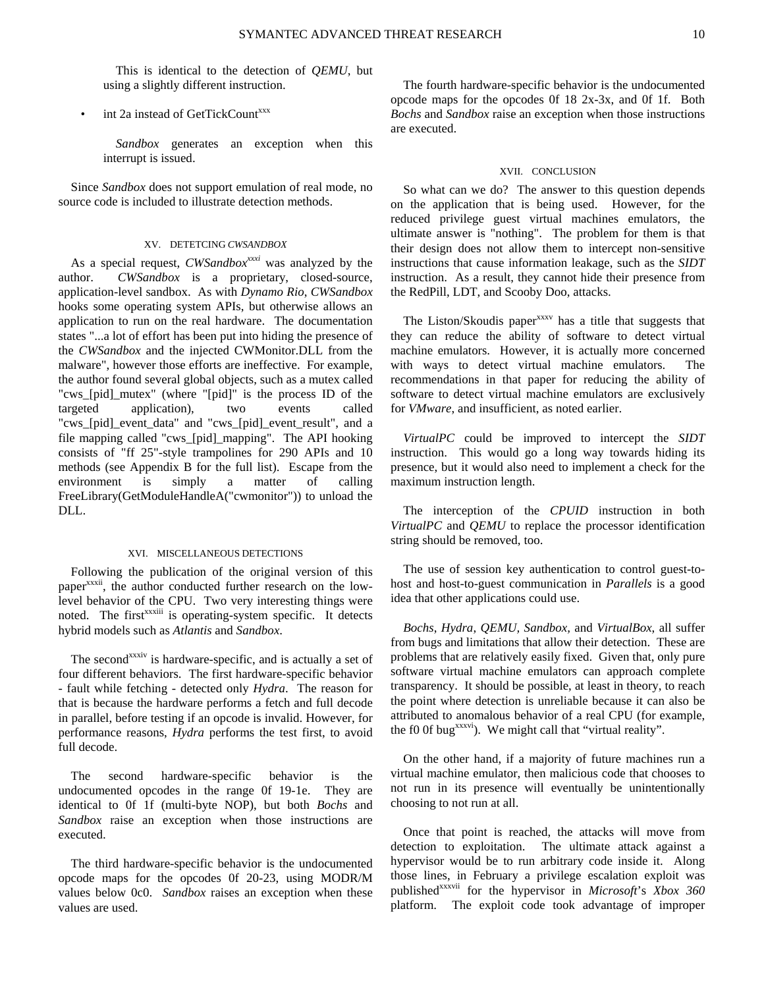This is identical to the detection of *QEMU*, but using a slightly different instruction.

# int 2a instead of GetTickCount<sup>xxx</sup>

*Sandbox* generates an exception when this interrupt is issued.

Since *Sandbox* does not support emulation of real mode, no source code is included to illustrate detection methods.

## XV. DETETCING *CWSANDBOX*

As a special request, *CWSandbox<sup>xxxi</sup>* was analyzed by the author. *CWSandbox* is a proprietary, closed-source, application-level sandbox. As with *Dynamo Rio*, *CWSandbox* hooks some operating system APIs, but otherwise allows an application to run on the real hardware. The documentation states "...a lot of effort has been put into hiding the presence of the *CWSandbox* and the injected CWMonitor.DLL from the malware", however those efforts are ineffective. For example, the author found several global objects, such as a mutex called "cws\_[pid]\_mutex" (where "[pid]" is the process ID of the targeted application), two events called "cws\_[pid]\_event\_data" and "cws\_[pid]\_event\_result", and a file mapping called "cws\_[pid]\_mapping". The API hooking consists of "ff 25"-style trampolines for 290 APIs and 10 methods (see Appendix B for the full list). Escape from the environment is simply a matter of calling FreeLibrary(GetModuleHandleA("cwmonitor")) to unload the DLL.

#### XVI. MISCELLANEOUS DETECTIONS

Following the publication of the original version of this paper<sup>xxxii</sup>, the author conducted further research on the lowlevel behavior of the CPU. Two very interesting things were noted. The first<sup>xxxiii</sup> is operating-system specific. It detects hybrid models such as *Atlantis* and *Sandbox*.

The second<sup>xxxiv</sup> is hardware-specific, and is actually a set of four different behaviors. The first hardware-specific behavior - fault while fetching - detected only *Hydra*. The reason for that is because the hardware performs a fetch and full decode in parallel, before testing if an opcode is invalid. However, for performance reasons, *Hydra* performs the test first, to avoid full decode.

The second hardware-specific behavior is the undocumented opcodes in the range 0f 19-1e. They are identical to 0f 1f (multi-byte NOP), but both *Bochs* and *Sandbox* raise an exception when those instructions are executed.

The third hardware-specific behavior is the undocumented opcode maps for the opcodes 0f 20-23, using MODR/M values below 0c0. *Sandbox* raises an exception when these values are used.

The fourth hardware-specific behavior is the undocumented opcode maps for the opcodes 0f 18 2x-3x, and 0f 1f. Both *Bochs* and *Sandbox* raise an exception when those instructions are executed.

## XVII. CONCLUSION

So what can we do? The answer to this question depends on the application that is being used. However, for the reduced privilege guest virtual machines emulators, the ultimate answer is "nothing". The problem for them is that their design does not allow them to intercept non-sensitive instructions that cause information leakage, such as the *SIDT* instruction. As a result, they cannot hide their presence from the RedPill, LDT, and Scooby Doo, attacks.

The Liston/Skoudis paper<sup>xxxv</sup> has a title that suggests that they can reduce the ability of software to detect virtual machine emulators. However, it is actually more concerned with ways to detect virtual machine emulators. The recommendations in that paper for reducing the ability of software to detect virtual machine emulators are exclusively for *VMware*, and insufficient, as noted earlier.

*VirtualPC* could be improved to intercept the *SIDT* instruction. This would go a long way towards hiding its presence, but it would also need to implement a check for the maximum instruction length.

The interception of the *CPUID* instruction in both *VirtualPC* and *QEMU* to replace the processor identification string should be removed, too.

The use of session key authentication to control guest-tohost and host-to-guest communication in *Parallels* is a good idea that other applications could use.

*Bochs*, *Hydra*, *QEMU, Sandbox,* and *VirtualBox*, all suffer from bugs and limitations that allow their detection. These are problems that are relatively easily fixed. Given that, only pure software virtual machine emulators can approach complete transparency. It should be possible, at least in theory, to reach the point where detection is unreliable because it can also be attributed to anomalous behavior of a real CPU (for example, the f0 0f bug<sup>xxxvi</sup>). We might call that "virtual reality".

On the other hand, if a majority of future machines run a virtual machine emulator, then malicious code that chooses to not run in its presence will eventually be unintentionally choosing to not run at all.

Once that point is reached, the attacks will move from detection to exploitation. The ultimate attack against a hypervisor would be to run arbitrary code inside it. Along those lines, in February a privilege escalation exploit was publishedxxxvii for the hypervisor in *Microsoft*'s *Xbox 360* platform. The exploit code took advantage of improper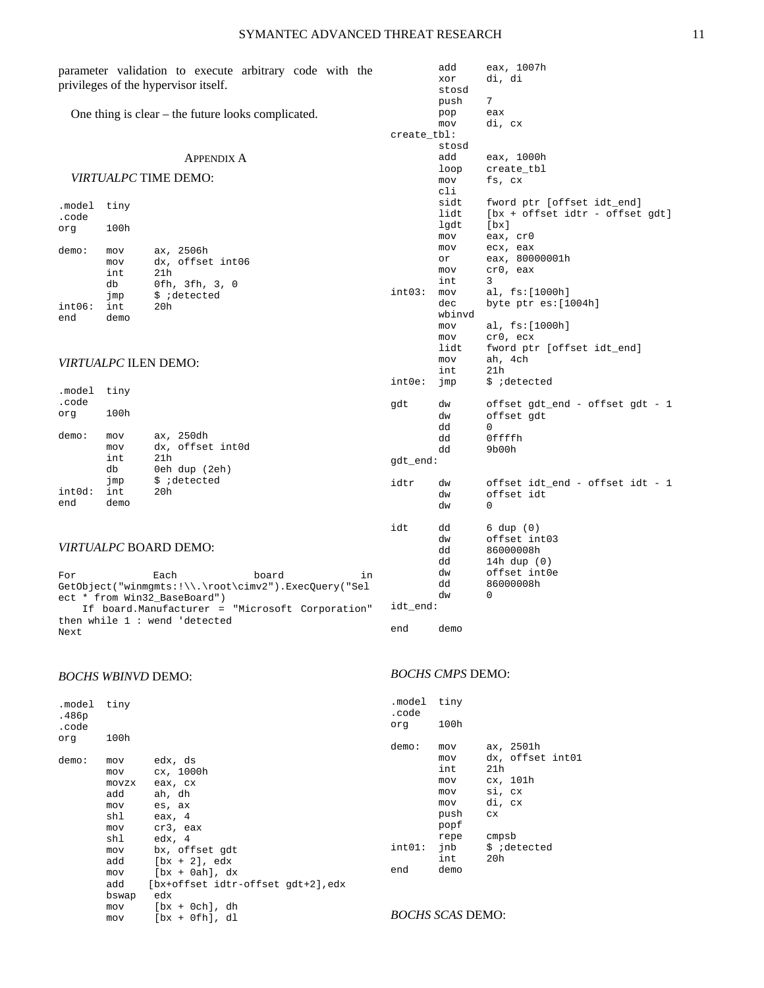| parameter validation to execute arbitrary code with the<br>privileges of the hypervisor itself. |                             |                                                      |             | add<br>xor<br>stosd<br>push | eax, 1007h<br>di, di<br>7                                     |
|-------------------------------------------------------------------------------------------------|-----------------------------|------------------------------------------------------|-------------|-----------------------------|---------------------------------------------------------------|
|                                                                                                 |                             | One thing is clear $-$ the future looks complicated. | create_tbl: | pop<br>mov<br>stosd         | eax<br>di, cx                                                 |
|                                                                                                 |                             | <b>APPENDIX A</b>                                    |             | add                         | eax, 1000h                                                    |
|                                                                                                 |                             |                                                      |             | loop                        | create_tbl                                                    |
|                                                                                                 |                             | <i>VIRTUALPC</i> TIME DEMO:                          |             | mov                         | fs, cx                                                        |
| .model<br>.code                                                                                 | tiny                        |                                                      |             | cli<br>sidt<br>lidt         | fword ptr [offset idt_end]<br>[bx + offset idtr - offset gdt] |
| org                                                                                             | 100h                        |                                                      |             | lgdt                        | $[\mathbf{bx}]$<br>eax, cr0                                   |
|                                                                                                 |                             |                                                      |             | mov<br>mov                  | ecx, eax                                                      |
| demo:                                                                                           | mov<br>mov                  | ax, 2506h<br>dx, offset int06                        |             | or                          | eax, 80000001h                                                |
|                                                                                                 | int                         | 21h                                                  |             | mov                         | cr0, eax                                                      |
|                                                                                                 | db                          | 0fh, 3fh, 3, 0                                       |             | int                         | 3                                                             |
|                                                                                                 | jmp                         | \$ ;detected                                         | int03:      | mov                         | al, fs: [1000h]                                               |
| int06:                                                                                          | int                         | 20h                                                  |             | dec<br>wbinvd               | byte ptr es: [1004h]                                          |
| end                                                                                             | demo                        |                                                      |             | mov                         | al, fs: [1000h]                                               |
|                                                                                                 |                             |                                                      |             | mov                         | cr0, ecx                                                      |
|                                                                                                 |                             |                                                      |             | lidt                        | fword ptr [offset idt_end]                                    |
|                                                                                                 | <b>VIRTUALPC ILEN DEMO:</b> |                                                      |             | mov                         | ah, 4ch                                                       |
|                                                                                                 |                             |                                                      | $int0e$ :   | int<br>jmp                  | 21h<br>\$ ;detected                                           |
| .model                                                                                          | tiny                        |                                                      |             |                             |                                                               |
| .code                                                                                           |                             |                                                      | gdt         | dw                          | offset gdt_end - offset gdt - 1                               |
| org                                                                                             | 100h                        |                                                      |             | dw                          | offset gdt                                                    |
| demo:                                                                                           | mov                         | ax, 250dh                                            |             | dd                          | 0                                                             |
|                                                                                                 | mov                         | dx, offset int0d                                     |             | dd<br>dd                    | Offffh<br>9b00h                                               |
|                                                                                                 | int                         | 21h                                                  | gdt_end:    |                             |                                                               |
|                                                                                                 | db                          | 0eh dup (2eh)                                        |             |                             |                                                               |
|                                                                                                 | jmp                         | \$ ;detected                                         | idtr        | dw                          | offset idt_end - offset idt - 1                               |
| int0d:<br>end                                                                                   | int<br>demo                 | 20h                                                  |             | dw                          | offset idt                                                    |
|                                                                                                 |                             |                                                      |             | dw                          | 0                                                             |
|                                                                                                 |                             |                                                      | idt         | dd                          | $6 \text{ dup } (0)$                                          |
|                                                                                                 |                             |                                                      |             | dw                          | offset int03                                                  |
| VIRTUALPC BOARD DEMO:                                                                           |                             |                                                      | dd          | 86000008h                   |                                                               |
|                                                                                                 |                             |                                                      |             | dd                          | 14h dup $(0)$                                                 |
| board<br>Each<br>in<br>For                                                                      |                             |                                                      |             | dw                          | offset int0e                                                  |
| $GetObject("winmgmts:!\\.\\root\dim 2") . Except@very("Sel"$                                    |                             |                                                      |             | dd<br>dw                    | 86000008h<br>0                                                |
| ect * from Win32_BaseBoard")<br>If board.Manufacturer = "Microsoft Corporation"                 |                             |                                                      | idt_end:    |                             |                                                               |
| then while $1:$ wend 'detected                                                                  |                             |                                                      |             |                             |                                                               |
| Next                                                                                            |                             |                                                      | end         | demo                        |                                                               |

*BOCHS WBINVD* DEMO:

| .model tiny<br>.486p<br>.code |       |                                    | .mode<br>.code<br>org |
|-------------------------------|-------|------------------------------------|-----------------------|
| org                           | 100h  |                                    |                       |
|                               |       |                                    | demo:                 |
| demo:                         | mov   | edx, ds                            |                       |
|                               | mov   | cx, 1000h                          |                       |
|                               | movzx | eax, cx                            |                       |
|                               | add   | ah, dh                             |                       |
|                               |       | mov es, ax                         |                       |
|                               | shl   | eax, 4                             |                       |
|                               |       | mov cr3, eax                       |                       |
|                               |       | shl edx, 4                         |                       |
|                               | mov   | bx, offset gdt                     | int01                 |
|                               |       | $add$ $[bx + 2]$ , $edx$           |                       |
|                               | mov   | [bx + 0ah], dx                     | end                   |
|                               | add   | [bx+offset idtr-offset gdt+2], edx |                       |
|                               | bswap | edx                                |                       |
|                               | mov   | $[bx + 0ch], dh$                   |                       |
|                               | mov   | $[bx + 0fh], dl$                   |                       |

# *BOCHS CMPS* DEMO:

| .model tiny<br>.code |                                                 |                                                                            |
|----------------------|-------------------------------------------------|----------------------------------------------------------------------------|
| orq                  | 100h                                            |                                                                            |
| demo:                | mov<br>mov<br>int.<br>mov<br>mov<br>mov<br>push | ax, 2501h<br>dx, offset int01<br>21h<br>cx, 101h<br>si, cx<br>di, cx<br>CX |
| int01:<br>end        | popf<br>repe<br>jnb<br>int<br>demo              | cmpsb<br>\$ ;detected<br>20h                                               |

# *BOCHS SCAS* DEMO: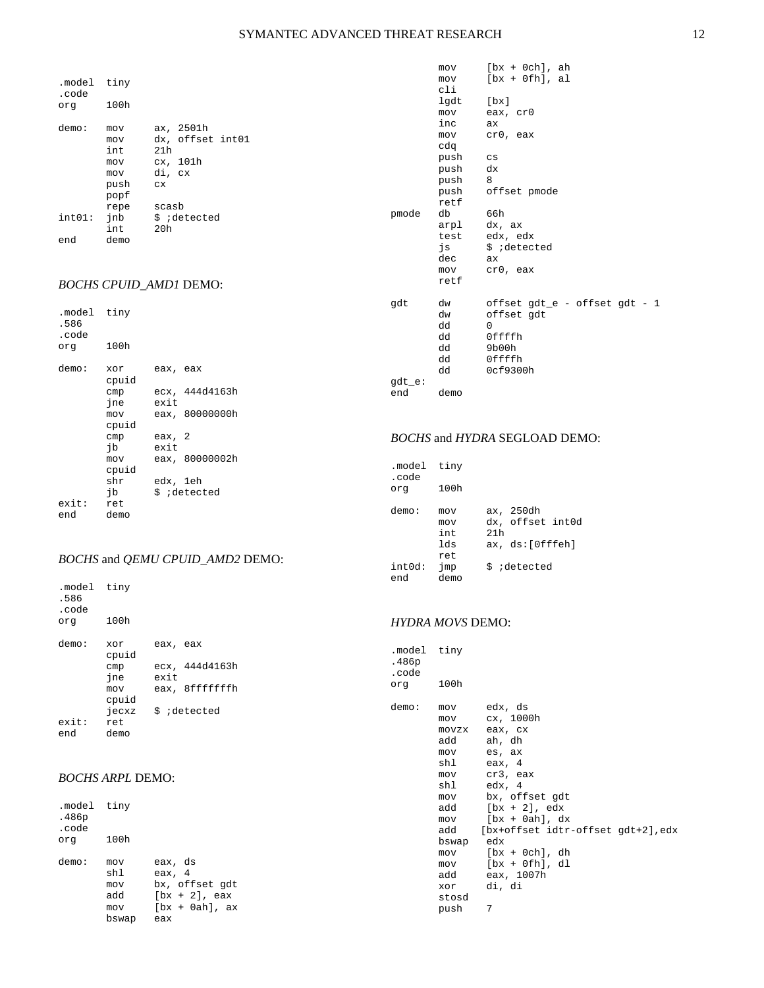| .model tiny<br>.code |                                         |                                                                         |
|----------------------|-----------------------------------------|-------------------------------------------------------------------------|
| orq                  | 100h                                    |                                                                         |
| demo:                | mov<br>mov<br>int<br>mov<br>mov<br>push | ax, 2501h<br>dx, offset int01<br>21h<br>cx, 101h<br>di, cx<br><b>CX</b> |
|                      | popf<br>repe                            | scasb                                                                   |
| $int01:$ $inb$       | int                                     | \$ ;detected<br>20h                                                     |
| end                  | demo                                    |                                                                         |

# *BOCHS CPUID\_AMD1* DEMO:

| .model tiny<br>.586<br>.code |              |          |                |
|------------------------------|--------------|----------|----------------|
| org                          | 100h         |          |                |
| demo:                        | xor<br>cpuid | eax, eax |                |
|                              | cmp          |          | ecx, 444d4163h |
|                              | ine          | exit     |                |
|                              | mov          |          | eax, 80000000h |
|                              | cpuid        |          |                |
|                              | cmp          | eax, 2   |                |
|                              | ib           | exit     |                |
|                              | mov          |          | eax, 80000002h |
|                              | cpuid        |          |                |
|                              | shr          | edx, 1eh |                |
|                              | ib           |          | \$ ;detected   |
| exit:                        | ret          |          |                |
| end                          | demo         |          |                |

# *BOCHS* and *QEMU CPUID\_AMD2* DEMO:

.model tiny .586 .code 100h demo: xor eax, eax cpuid cmp ecx, 444d4163h jne exit mov eax, 8fffffffh cpuid .<br>jecxz \$ ;detected<br>ret exit:<br>end demo

# *BOCHS ARPL* DEMO:

| model tiny.<br>.486p<br>.code |                                          |                                                                                     |
|-------------------------------|------------------------------------------|-------------------------------------------------------------------------------------|
| orq                           | 100h                                     |                                                                                     |
| demo:                         | mov<br>shl<br>mov<br>add<br>mov<br>bswap | eax, ds<br>eax, 4<br>bx, offset qdt<br>$[bx + 2]$ , eax<br>$[bx + 0ah]$ , ax<br>eax |

|           | mov  | $[bx + 0ch], ah$              |
|-----------|------|-------------------------------|
|           | mov  | $[bx + 0fh], al$              |
|           | cli  |                               |
|           | lgdt | [bx]                          |
|           | mov  | eax, cr0                      |
|           | inc  | ax                            |
|           | mov  | cr0, eax                      |
|           | cdq  |                               |
|           | push | $\mathbf{c}\mathbf{s}$        |
|           | push | dx                            |
|           | push | 8                             |
|           | push | offset pmode                  |
|           | retf |                               |
| pmode     | db   | 66h                           |
|           | arpl | dx, ax                        |
|           | test | edx, edx                      |
|           | js   | \$ ;detected                  |
|           | dec  | ax                            |
|           | mov  | cr0, eax                      |
|           | retf |                               |
|           |      |                               |
| gdt       | dw   | offset gdt_e - offset gdt - 1 |
|           | dw   | offset gdt                    |
|           | dd   | $\Omega$                      |
|           | dd   | Offffh                        |
|           | dd   | 9b00h                         |
|           | dd   | Offffh                        |
|           | dd   | 0cf9300h                      |
| $qdt_e$ : |      |                               |
| end       | demo |                               |
|           |      |                               |

## *BOCHS* and *HYDRA* SEGLOAD DEMO:

| .model<br>.code<br>orq    | tiny<br>100h                                     |                                                                         |
|---------------------------|--------------------------------------------------|-------------------------------------------------------------------------|
| demo:<br>$int0d$ :<br>end | mov<br>mov<br>int.<br>lds<br>ret.<br>jmp<br>demo | ax, 250dh<br>dx, offset int0d<br>21h<br>ax, ds:[Offfeh]<br>\$ ;detected |

# *HYDRA MOVS* DEMO:

| .model tiny<br>.486p<br>.code<br>orq | 100h                                                                                                       |                                                                                                                                                                                                                                                                                        |
|--------------------------------------|------------------------------------------------------------------------------------------------------------|----------------------------------------------------------------------------------------------------------------------------------------------------------------------------------------------------------------------------------------------------------------------------------------|
| demo:                                | mov<br>mov<br>add<br>mov<br>shl<br>mov<br>shl<br>mov<br>mov<br>bswap<br>mov<br>add<br>xor<br>stosd<br>push | edx, ds<br>cx, 1000h<br>movzx eax, cx<br>ah, dh<br>es, ax<br>eax, 4<br>cr3, eax<br>edx, 4<br>bx, offset gdt<br>$add$ $[bx + 2]$ , $edx$<br>$[bx + 0ah], dx$<br>add [bx+offset idtr-offset gdt+2], edx<br>edx<br>$mov$ $[bx + 0ch]$ , dh<br>[bx + Ofh], dl<br>eax, 1007h<br>di, di<br>7 |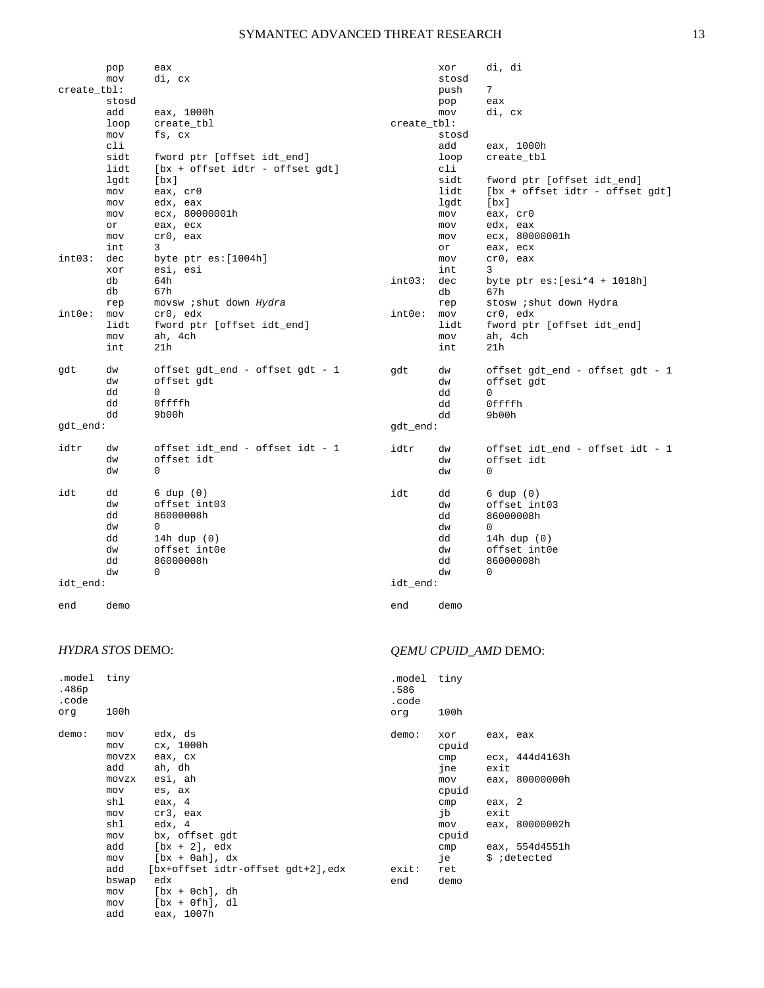|             | pop        | eax                               |             | xor   | di, di                          |
|-------------|------------|-----------------------------------|-------------|-------|---------------------------------|
|             | mov        | di, cx                            |             | stosd |                                 |
| create_tbl: |            |                                   |             | push  | 7                               |
|             | stosd      |                                   |             | pop   | eax                             |
|             | add        | eax, 1000h                        |             | mov   | di, cx                          |
|             | loop       | create_tbl                        | create_tbl: |       |                                 |
|             | mov        | fs, cx                            |             | stosd |                                 |
|             | cli        |                                   |             | add   | eax, 1000h                      |
|             | sidt       | fword ptr [offset idt_end]        |             | loop  | create_tbl                      |
|             | lidt       | $[bx + offest idtr - offset gdt]$ |             | cli   |                                 |
|             | lgdt       | [bx]                              |             | sidt  | fword ptr [offset idt_end]      |
|             | mov        | eax, cr0                          |             | lidt  | [bx + offset idtr - offset gdt] |
|             | mov        | edx, eax                          |             | lgdt  | [bx]                            |
|             | mov        | ecx, 80000001h                    |             | mov   | eax, cr0                        |
|             | or         | eax, ecx                          |             | mov   | edx, eax                        |
|             | mov        | cr0, eax                          |             | mov   | ecx, 80000001h                  |
|             | int        | 3                                 |             | or    | eax, ecx                        |
| int03:      | dec        | byte $ptr$ es: $[1004h]$          |             | mov   | cr0, eax                        |
|             | xor        | esi, esi                          |             | int   | 3                               |
|             | db         | 64h                               | int03:      | dec   | byte ptr $es:[esi*4 + 1018h]$   |
|             | db         | 67h                               |             | db    | 67h                             |
|             | rep        | movsw <i>i</i> shut down Hydra    |             | rep   | stosw <i>i</i> shut down Hydra  |
| $int0e$ :   | mov        | cr0, edx                          | int0e:      | mov   | cr0, edx                        |
|             | lidt       | fword ptr [offset idt_end]        |             | lidt  | fword ptr [offset idt_end]      |
|             | mov<br>int | ah, 4ch<br>21h                    |             | mov   | ah, 4ch                         |
|             |            |                                   |             | int   | 21h                             |
| gdt         | dw         | offset gdt_end - offset gdt - 1   | gdt         | dw    | offset gdt_end - offset gdt - 1 |
|             | dw         | offset gdt                        |             | dw    | offset gdt                      |
|             | dd         | $\Omega$                          |             | dd    | $\Omega$                        |
|             | dd         | Offffh                            |             | dd    | Offffh                          |
|             | dd         | 9b00h                             |             | dd    | 9b00h                           |
| gdt_end:    |            |                                   | gdt_end:    |       |                                 |
|             |            |                                   |             |       |                                 |
| idtr        | dw         | offset idt_end - offset idt - 1   | idtr        | dw    | offset idt_end - offset idt - 1 |
|             | dw         | offset idt                        |             | dw    | offset idt                      |
|             | dw         | 0                                 |             | dw    | 0                               |
| idt         | dd         | $6 \text{ dup } (0)$              | idt         | dd    | $6 \text{ dup } (0)$            |
|             | dw         | offset int03                      |             | dw    | offset int03                    |
|             | dd         | 86000008h                         |             | dd    | 86000008h                       |
|             | dw         | 0                                 |             | dw    | 0                               |
|             | dd         | 14h dup $(0)$                     |             | dd    | 14h dup $(0)$                   |
|             | dw         | offset int0e                      |             | dw    | offset int0e                    |
|             | dd         | 86000008h                         |             | dd    | 86000008h                       |
|             | dw         | 0                                 |             | dw    | 0                               |
| idt_end:    |            |                                   | idt_end:    |       |                                 |
|             |            |                                   |             |       |                                 |
| end         | demo       |                                   | end         | demo  |                                 |

# *HYDRA STOS* DEMO:

| .model<br>.486p<br>.code | tiny                                                               |                                                                                                                                                                      | .model<br>.586<br>.code |
|--------------------------|--------------------------------------------------------------------|----------------------------------------------------------------------------------------------------------------------------------------------------------------------|-------------------------|
| org                      | 100h                                                               |                                                                                                                                                                      | org                     |
| demo:                    | mov<br>mov<br>add<br>mov<br>shl<br>mov<br>shl<br>mov<br>add<br>mov | edx, ds<br>cx, 1000h<br>movzx eax, cx<br>ah, dh<br>movzx esi, ah<br>es, ax<br>eax, 4<br>cr3, eax<br>edx, 4<br>bx, offset qdt<br>$[bx + 2]$ , edx<br>$[bx + 0ah], dx$ | demo:                   |
|                          | add                                                                | [bx+offset idtr-offset gdt+2], edx                                                                                                                                   | exit:                   |
|                          | bswap<br>mov                                                       | edx<br>$[bx + 0ch], dh$                                                                                                                                              | end                     |
|                          |                                                                    | $[bx + 0fh], dl$                                                                                                                                                     |                         |
|                          | mov                                                                |                                                                                                                                                                      |                         |
|                          | add                                                                | eax, 1007h                                                                                                                                                           |                         |

# *QEMU CPUID\_AMD* DEMO:

| .model tiny<br>.586 |              |                |                                |
|---------------------|--------------|----------------|--------------------------------|
| .code<br>org        | 100h         |                |                                |
| demo:               | xor<br>cpuid | eax, eax       |                                |
|                     | cmp<br>ine   | exit.          | ecx, 444d4163h                 |
|                     | mov<br>cpuid |                | eax, 80000000h                 |
|                     | cmp<br>ib    | eax, 2<br>exit |                                |
|                     | mov<br>cpuid |                | eax, 80000002h                 |
|                     | cmp<br>ie    |                | eax, 554d4551h<br>\$ ;detected |
| exit:<br>end        | ret<br>demo  |                |                                |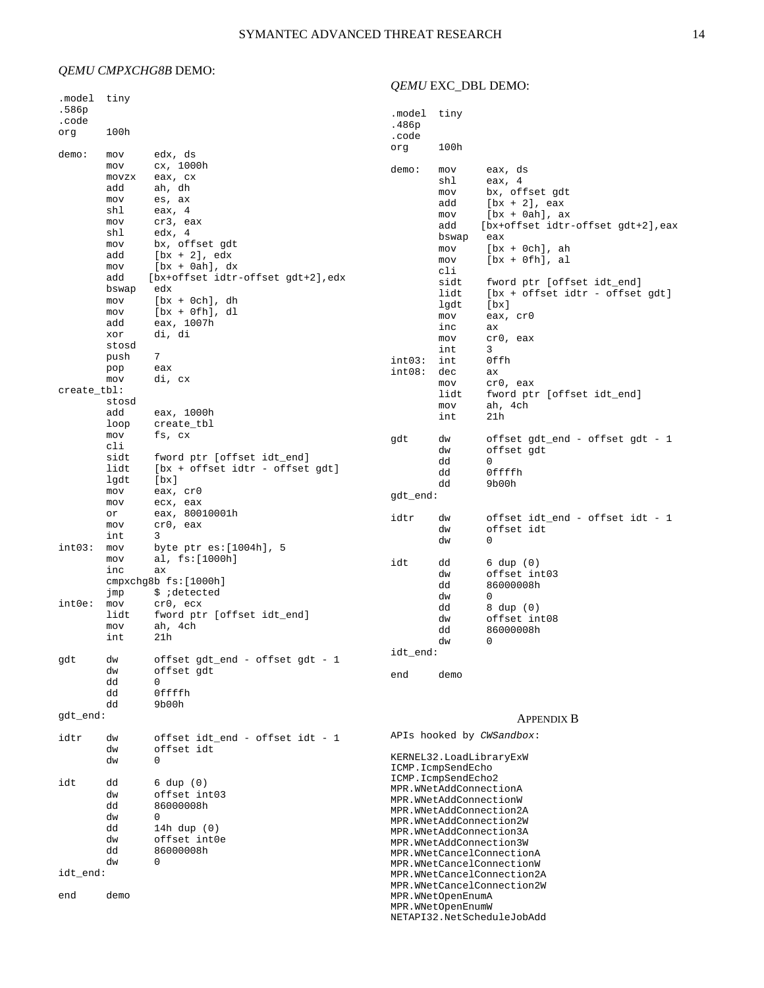# *QEMU CMPXCHG8B* DEMO:

# *QEMU* EXC\_DBL DEMO:

| .model<br>.586p | tiny       |                                   |                                                                               |                        |                                             |  |
|-----------------|------------|-----------------------------------|-------------------------------------------------------------------------------|------------------------|---------------------------------------------|--|
| .code           |            |                                   | .model                                                                        | tiny                   |                                             |  |
| org             | 100h       |                                   | .486p<br>.code                                                                |                        |                                             |  |
|                 |            |                                   | org                                                                           | 100h                   |                                             |  |
| demo:           | mov        | edx, ds                           |                                                                               |                        |                                             |  |
|                 | mov        | cx, 1000h                         | demo:                                                                         | mov                    | eax, ds                                     |  |
|                 | movzx      | eax, cx                           |                                                                               | shl                    | eax, $4$                                    |  |
|                 | add        | ah, dh                            |                                                                               | mov                    | bx, offset gdt                              |  |
|                 | mov<br>shl | es, ax                            |                                                                               | add                    | $[bx + 2]$ , eax                            |  |
|                 | mov        | eax, 4<br>cr3, eax                |                                                                               | mov                    | $[bx + 0ah], ax$                            |  |
|                 | shl        | edx, 4                            |                                                                               | add                    | [bx+offset idtr-offset gdt+2], eax          |  |
|                 | mov        | bx, offset gdt                    |                                                                               | bswap                  | eax                                         |  |
|                 | add        | $[bx + 2], edx$                   |                                                                               | mov<br>mov             | $[bx + 0ch], ah$<br>$[bx + 0fh], \text{al}$ |  |
|                 | mov        | $[bx + 0ah], dx$                  |                                                                               | cli                    |                                             |  |
|                 | add        | [bx+offset idtr-offset gdt+2],edx |                                                                               | sidt                   | fword ptr [offset idt_end]                  |  |
|                 | bswap      | edx                               |                                                                               | lidt                   | [bx + offset idtr - offset gdt]             |  |
|                 | mov        | $[bx + 0ch], dh$                  |                                                                               | lgdt                   | $[\mathbf{bx}]$                             |  |
|                 | mov<br>add | $[bx + 0fh], dl$                  |                                                                               | mov                    | eax, cr0                                    |  |
|                 | xor        | eax, 1007h<br>di, di              |                                                                               | inc                    | аx                                          |  |
|                 | stosd      |                                   |                                                                               | mov                    | cr0, eax                                    |  |
|                 | push       | 7                                 |                                                                               | int                    | 3                                           |  |
|                 | pop        | eax                               | int03:<br>int08:                                                              | int                    | 0ffh                                        |  |
|                 | mov        | di, cx                            |                                                                               | dec<br>mov             | ax<br>cr0, eax                              |  |
| create_tbl:     |            |                                   |                                                                               | lidt                   | fword ptr [offset idt_end]                  |  |
|                 | stosd      |                                   |                                                                               | mov                    | ah, 4ch                                     |  |
|                 | add        | eax, 1000h                        |                                                                               | int                    | 21h                                         |  |
|                 | loop       | create_tbl                        |                                                                               |                        |                                             |  |
|                 | mov<br>cli | fs, cx                            | gdt                                                                           | dw                     | offset gdt_end - offset gdt - 1             |  |
|                 | sidt       | fword ptr [offset idt_end]        |                                                                               | dw                     | offset gdt                                  |  |
|                 | lidt       | [bx + offset idtr - offset gdt]   |                                                                               | dd                     | 0                                           |  |
|                 | lgdt       | $[\mathbf{bx}]$                   |                                                                               | dd                     | Offffh                                      |  |
|                 | mov        | eax, crO                          |                                                                               | dd                     | 9b00h                                       |  |
|                 | mov        | ecx, eax                          | gdt_end:                                                                      |                        |                                             |  |
|                 | or         | eax, 80010001h                    | idtr                                                                          | dw                     | offset idt_end - offset idt - 1             |  |
|                 | mov        | cr0, eax                          |                                                                               | dw                     | offset idt                                  |  |
|                 | int        | 3                                 |                                                                               | dw                     | 0                                           |  |
| int03:          | mov        | byte ptr es:[1004h], 5            |                                                                               |                        |                                             |  |
|                 | mov<br>inc | al, fs:[1000h]<br>аx              | idt                                                                           | dd                     | $6 \text{ dup } (0)$                        |  |
|                 |            | cmpxchq8bfs:[1000h]               |                                                                               | dw                     | offset int03                                |  |
|                 | jmp        | \$ ;detected                      |                                                                               | dd                     | 86000008h                                   |  |
| $int0e$ :       | mov        | cr0, ecx                          |                                                                               | dw<br>dd               | 0<br>8 dup (0)                              |  |
|                 | lidt       | fword ptr [offset idt_end]        |                                                                               | dw                     | offset int08                                |  |
|                 | mov        | ah, 4ch                           |                                                                               | dd                     | 86000008h                                   |  |
|                 | int        | 21h                               |                                                                               | dw                     | 0                                           |  |
|                 |            |                                   | $idt$ _end:                                                                   |                        |                                             |  |
| gdt             | dw         | offset gdt_end - offset gdt - 1   |                                                                               |                        |                                             |  |
|                 | dw<br>dd   | offset gdt<br>0                   | end                                                                           | demo                   |                                             |  |
|                 | dd         | Offffh                            |                                                                               |                        |                                             |  |
|                 | dd         | 9b00h                             |                                                                               |                        |                                             |  |
| gdt_end:        |            |                                   |                                                                               |                        | <b>APPENDIX B</b>                           |  |
|                 |            |                                   |                                                                               |                        |                                             |  |
| idtr            | dw         | offset idt_end - offset idt - 1   |                                                                               |                        | APIs hooked by CWSandbox:                   |  |
|                 | dw         | offset idt                        |                                                                               |                        |                                             |  |
|                 | dw         | 0                                 | KERNEL32.LoadLibraryExW<br>ICMP.IcmpSendEcho                                  |                        |                                             |  |
|                 |            |                                   | ICMP.IcmpSendEcho2                                                            |                        |                                             |  |
| idt             | dd<br>dw   | 6 dup (0)<br>offset int03         |                                                                               | MPR.WNetAddConnectionA |                                             |  |
|                 | dd         | 86000008h                         | MPR.WNetAddConnectionW<br>MPR.WNetAddConnection2A                             |                        |                                             |  |
|                 | dw         | 0                                 |                                                                               |                        |                                             |  |
|                 | dd         | 14h dup (0)                       | MPR.WNetAddConnection2W<br>MPR.WNetAddConnection3A<br>MPR.WNetAddConnection3W |                        |                                             |  |
|                 | dw         | offset int0e                      |                                                                               |                        |                                             |  |
|                 | dd         | 86000008h                         |                                                                               |                        | MPR.WNetCancelConnectionA                   |  |
|                 | dw         | 0                                 | MPR.WNetCancelConnectionW                                                     |                        |                                             |  |
| idt_end:        |            |                                   | MPR.WNetCancelConnection2A                                                    |                        |                                             |  |
|                 |            |                                   |                                                                               |                        | MPR.WNetCancelConnection2W                  |  |
| end             | demo       |                                   | MPR.WNetOpenEnumA<br>MPR. WNetOpenEnumW                                       |                        |                                             |  |
|                 |            |                                   |                                                                               |                        | NETAPI32.NetScheduleJobAdd                  |  |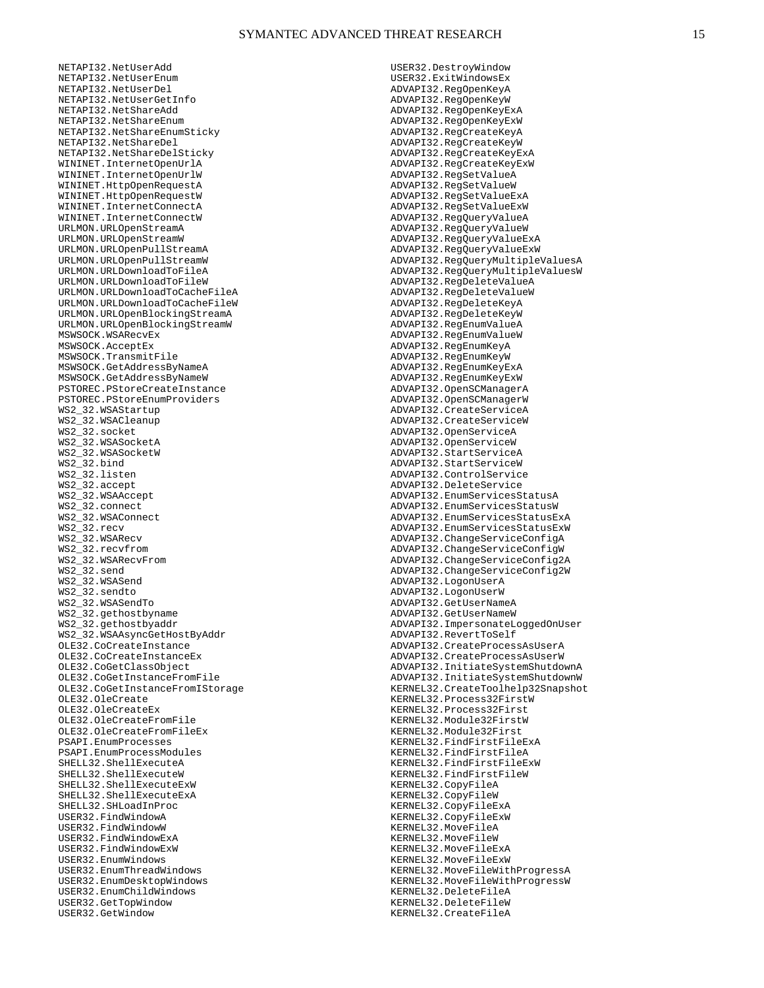NETAPI32.NetUserAdd NETAPI32.NetUserEnum NETAPI32.NetUserDel NETAPI32.NetUserGetInfo NETAPI32.NetShareAdd NETAPI32.NetShareEnum NETAPI32.NetShareEnumSticky NETAPI32.NetShareDel NETAPI32.NetShareDelSticky WININET.InternetOpenUrlA WININET.InternetOpenUrlW WININET.HttpOpenRequestA WININET.HttpOpenRequestW WININET.InternetConnectA WININET.InternetConnectW URLMON.URLOpenStreamA URLMON.URLOpenStreamW URLMON.URLOpenPullStreamA URLMON.URLOpenPullStreamW URLMON.URLDownloadToFileA URLMON.URLDownloadToFileW URLMON.URLDownloadToCacheFileA URLMON.URLDownloadToCacheFileW URLMON.URLOpenBlockingStreamA URLMON.URLOpenBlockingStreamW MSWSOCK.WSARecvEx MSWSOCK.AcceptEx MSWSOCK.TransmitFile MSWSOCK.GetAddressByNameA MSWSOCK.GetAddressByNameW PSTOREC.PStoreCreateInstance PSTOREC.PStoreEnumProviders WS2\_32.WSAStartup WS2\_32.WSACleanup WS2\_32.socket WS2\_32.WSASocketA WS2\_32.WSASocketW WS2\_32.bind WS2\_32.listen WS2\_32.accept WS2\_32.WSAAccept WS2\_32.connect WS2\_32.WSAConnect WS2\_32.recv WS2\_32.WSARecv WS2\_32.recvfrom WS2\_32.WSARecvFrom WS2\_32.send WS2\_32.WSASend WS2\_32.sendto WS2\_32.WSASendTo WS2\_32.gethostbyname WS2\_32.gethostbyaddr WS2\_32.WSAAsyncGetHostByAddr OLE32.CoCreateInstance OLE32.CoCreateInstanceEx OLE32.CoGetClassObject OLE32.CoGetInstanceFromFile OLE32.CoGetInstanceFromIStorage OLE32.OleCreate OLE32.OleCreateEx OLE32.OleCreateFromFile OLE32.OleCreateFromFileEx PSAPI.EnumProcesses PSAPI.EnumProcessModules SHELL32.ShellExecuteA SHELL32.ShellExecuteW SHELL32.ShellExecuteExW SHELL32.ShellExecuteExA SHELL32.SHLoadInProc USER32.FindWindowA USER32.FindWindowW USER32.FindWindowExA USER32.FindWindowExW USER32.EnumWindows USER32.EnumThreadWindows USER32.EnumDesktopWindows USER32.EnumChildWindows USER32.GetTopWindow USER32.GetWindow

USER32.DestroyWindow USER32.ExitWindowsEx ADVAPI32.RegOpenKeyA ADVAPI32.RegOpenKeyW ADVAPI32.RegOpenKeyExA ADVAPI32.RegOpenKeyExW ADVAPI32.RegCreateKeyA ADVAPI32.RegCreateKeyW ADVAPI32.RegCreateKeyExA ADVAPI32.RegCreateKeyExW ADVAPI32.RegSetValueA ADVAPI32.RegSetValueW ADVAPI32.RegSetValueExA ADVAPI32.RegSetValueExW ADVAPI32.RegQueryValueA ADVAPI32.RegQueryValueW ADVAPI32.RegQueryValueExA ADVAPI32.RegQueryValueExW ADVAPI32.RegQueryMultipleValuesA ADVAPI32.RegQueryMultipleValuesW ADVAPI32.RegDeleteValueA ADVAPI32.RegDeleteValueW ADVAPI32.RegDeleteKeyA ADVAPI32.RegDeleteKeyW ADVAPI32.RegEnumValueA ADVAPI32.RegEnumValueW ADVAPI32.RegEnumKeyA ADVAPI32.RegEnumKeyW ADVAPI32.RegEnumKeyExA ADVAPI32.RegEnumKeyExW ADVAPI32.OpenSCManagerA ADVAPI32.OpenSCManagerW ADVAPI32.CreateServiceA ADVAPI32.CreateServiceW ADVAPI32.OpenServiceA ADVAPI32.OpenServiceW ADVAPI32.StartServiceA ADVAPI32.StartServiceW ADVAPI32.ControlService ADVAPI32.DeleteService ADVAPI32.EnumServicesStatusA ADVAPI32.EnumServicesStatusW ADVAPI32.EnumServicesStatusExA ADVAPI32.EnumServicesStatusExW ADVAPI32.ChangeServiceConfigA ADVAPI32.ChangeServiceConfigW ADVAPI32.ChangeServiceConfig2A ADVAPI32.ChangeServiceConfig2W ADVAPI32.LogonUserA ADVAPI32.LogonUserW ADVAPI32.GetUserNameA ADVAPI32.GetUserNameW ADVAPI32.ImpersonateLoggedOnUser ADVAPI32.RevertToSelf ADVAPI32.CreateProcessAsUserA ADVAPI32.CreateProcessAsUserW ADVAPI32.InitiateSystemShutdownA ADVAPI32.InitiateSystemShutdownW KERNEL32.CreateToolhelp32Snapshot KERNEL32.Process32FirstW KERNEL32.Process32First KERNEL32.Module32FirstW KERNEL32.Module32First KERNEL32.FindFirstFileExA KERNEL32.FindFirstFileA KERNEL32.FindFirstFileExW KERNEL32.FindFirstFileW KERNEL32.CopyFileA KERNEL32.CopyFileW KERNEL32.CopyFileExA KERNEL32.CopyFileExW KERNEL32.MoveFileA KERNEL32.MoveFileW KERNEL32.MoveFileExA KERNEL32.MoveFileExW KERNEL32.MoveFileWithProgressA KERNEL32.MoveFileWithProgressW KERNEL32.DeleteFileA KERNEL32.DeleteFileW KERNEL32.CreateFileA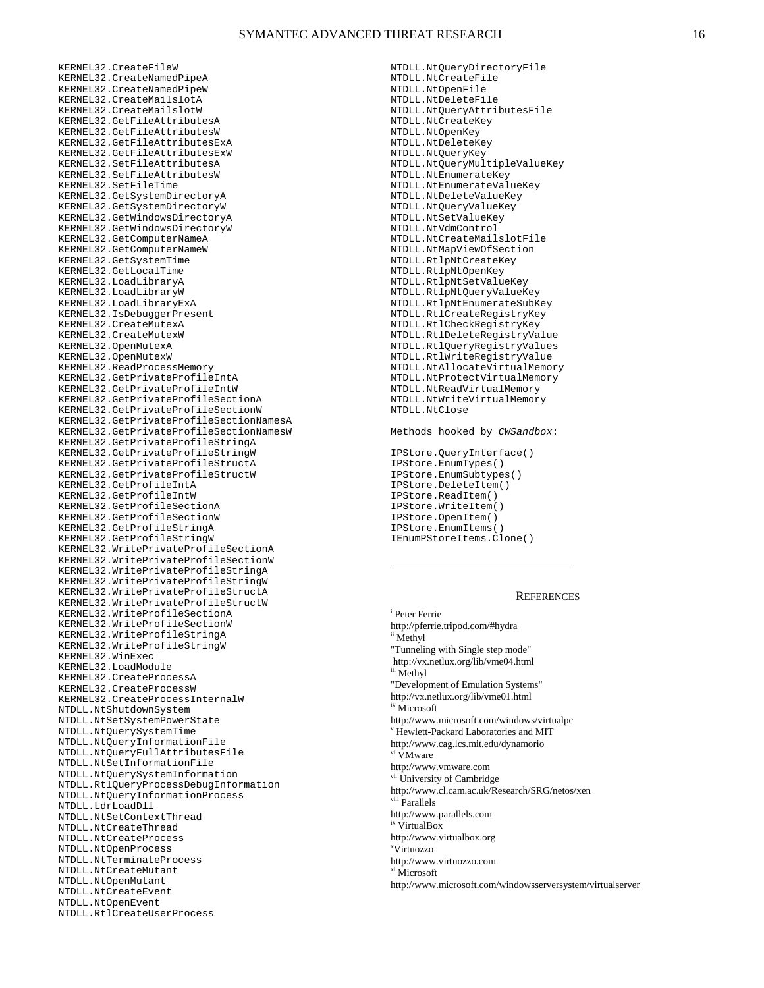KERNEL32.CreateFileW KERNEL32.CreateNamedPipeA KERNEL32.CreateNamedPipeW KERNEL32.CreateMailslotA KERNEL32.CreateMailslotW KERNEL32.GetFileAttributesA KERNEL32.GetFileAttributesW KERNEL32.GetFileAttributesExA KERNEL32.GetFileAttributesExW KERNEL32.SetFileAttributesA KERNEL32.SetFileAttributesW KERNEL32.SetFileTime KERNEL32.GetSystemDirectoryA KERNEL32.GetSystemDirectoryW KERNEL32.GetWindowsDirectoryA KERNEL32.GetWindowsDirectoryW KERNEL32.GetComputerNameA KERNEL32.GetComputerNameW KERNEL32.GetSystemTime KERNEL32.GetLocalTime KERNEL32.LoadLibraryA KERNEL32.LoadLibraryW KERNEL32.LoadLibraryExA KERNEL32.IsDebuggerPresent KERNEL32.CreateMutexA KERNEL32.CreateMutexW KERNEL32.OpenMutexA KERNEL32.OpenMutexW KERNEL32.ReadProcessMemory KERNEL32.GetPrivateProfileIntA KERNEL32.GetPrivateProfileIntW KERNEL32.GetPrivateProfileSectionA KERNEL32.GetPrivateProfileSectionW KERNEL32.GetPrivateProfileSectionNamesA KERNEL32.GetPrivateProfileSectionNamesW KERNEL32.GetPrivateProfileStringA KERNEL32.GetPrivateProfileStringW KERNEL32.GetPrivateProfileStructA KERNEL32.GetPrivateProfileStructW KERNEL32.GetProfileIntA KERNEL32.GetProfileIntW KERNEL32.GetProfileSectionA KERNEL32.GetProfileSectionW KERNEL32.GetProfileStringA KERNEL32.GetProfileStringW KERNEL32.WritePrivateProfileSectionA KERNEL32.WritePrivateProfileSectionW KERNEL32.WritePrivateProfileStringA KERNEL32.WritePrivateProfileStringW KERNEL32.WritePrivateProfileStructA KERNEL32.WritePrivateProfileStructW KERNEL32.WriteProfileSectionA KERNEL32.WriteProfileSectionW KERNEL32.WriteProfileStringA KERNEL32.WriteProfileStringW KERNEL32.WinExec KERNEL32.LoadModule KERNEL32.CreateProcessA KERNEL32.CreateProcessW KERNEL32.CreateProcessInternalW NTDLL.NtShutdownSystem NTDLL.NtSetSystemPowerState NTDLL.NtQuerySystemTime NTDLL.NtQueryInformationFile NTDLL.NtQueryFullAttributesFile NTDLL.NtSetInformationFile NTDLL.NtQuerySystemInformation NTDLL.RtlQueryProcessDebugInformation NTDLL.NtQueryInformationProcess NTDLL.LdrLoadDll NTDLL.NtSetContextThread NTDLL.NtCreateThread NTDLL.NtCreateProcess NTDLL.NtOpenProcess NTDLL.NtTerminateProcess NTDLL.NtCreateMutant NTDLL.NtOpenMutant NTDLL.NtCreateEvent NTDLL.NtOpenEvent NTDLL.RtlCreateUserProcess

NTDLL.NtQueryDirectoryFile NTDLL.NtCreateFile NTDLL.NtOpenFile NTDLL.NtDeleteFile NTDLL.NtQueryAttributesFile NTDLL.NtCreateKey NTDLL.NtOpenKey NTDLL.NtDeleteKey NTDLL.NtQueryKey NTDLL.NtQueryMultipleValueKey NTDLL.NtEnumerateKey NTDLL.NtEnumerateValueKey NTDLL.NtDeleteValueKey NTDLL.NtQueryValueKey NTDLL.NtSetValueKey NTDLL.NtVdmControl NTDLL.NtCreateMailslotFile NTDLL.NtMapViewOfSection NTDLL.RtlpNtCreateKey NTDLL.RtlpNtOpenKey NTDLL.RtlpNtSetValueKey NTDLL.RtlpNtQueryValueKey NTDLL.RtlpNtEnumerateSubKey NTDLL.RtlCreateRegistryKey NTDLL.RtlCheckRegistryKey NTDLL.RtlDeleteRegistryValue NTDLL.RtlQueryRegistryValues NTDLL.RtlWriteRegistryValue NTDLL.NtAllocateVirtualMemory NTDLL.NtProtectVirtualMemory NTDLL.NtReadVirtualMemory NTDLL.NtWriteVirtualMemory NTDLL.NtClose

Methods hooked by *CWSandbox*:

IPStore.QueryInterface() IPStore.EnumTypes() IPStore.EnumSubtypes() IPStore.DeleteItem() IPStore.ReadItem() IPStore.WriteItem() IPStore.OpenItem() IPStore.EnumItems() IEnumPStoreItems.Clone()

 $\overline{a}$ 

## **REFERENCES**

i Peter Ferrie http://pferrie.tripod.com/#hydra ii Methyl "Tunneling with Single step mode" http://vx.netlux.org/lib/vme04.html iii Methyl "Development of Emulation Systems" http://vx.netlux.org/lib/vme01.html iv Microsoft http://www.microsoft.com/windows/virtualpc v Hewlett-Packard Laboratories and MIT http://www.cag.lcs.mit.edu/dynamorio vi VMware http://www.vmware.com University of Cambridge http://www.cl.cam.ac.uk/Research/SRG/netos/xen viii Parallels http://www.parallels.com ix VirtualBox http://www.virtualbox.org x Virtuozzo http://www.virtuozzo.com xi Microsoft http://www.microsoft.com/windowsserversystem/virtualserver